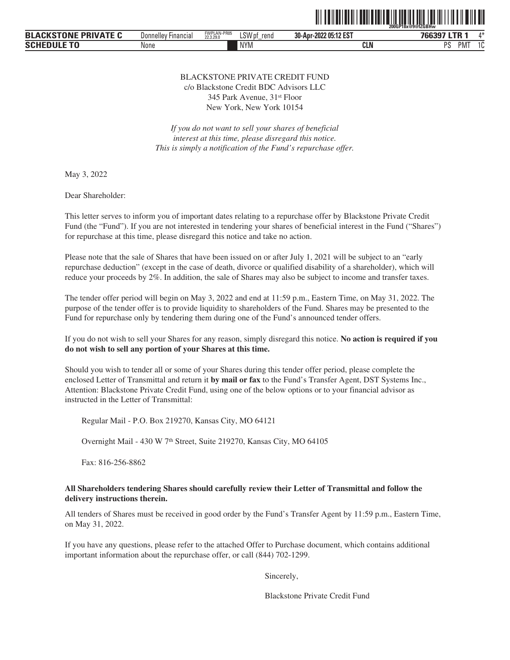

| <b>PRIVATE C</b><br><b>CKSTONE</b><br><b>BLA</b><br>$\mathbf{M}$<br>alan " | Financial<br>Donnellev | FWPLAN-PR05<br>22,3,29.0 | SWp1<br>rend<br>⊾აw | -2022 05:12 EST<br>30-Apr | 766397 LTR<br>*bb.s   | $A - 4$<br>$\mathbf{u}$ |
|----------------------------------------------------------------------------|------------------------|--------------------------|---------------------|---------------------------|-----------------------|-------------------------|
| <b>SCHEDULE TO</b>                                                         | None                   |                          | <b>NYM</b>          | <b>CLN</b>                | nc<br>PM <sup>-</sup> | . .                     |

#### BLACKSTONE PRIVATE CREDIT FUND c/o Blackstone Credit BDC Advisors LLC

345 Park Avenue, 31st Floor New York, New York 10154

*If you do not want to sell your shares of beneficial interest at this time, please disregard this notice. This is simply a notification of the Fund's repurchase offer.*

May 3, 2022

Dear Shareholder:

This letter serves to inform you of important dates relating to a repurchase offer by Blackstone Private Credit Fund (the "Fund"). If you are not interested in tendering your shares of beneficial interest in the Fund ("Shares") for repurchase at this time, please disregard this notice and take no action.

Please note that the sale of Shares that have been issued on or after July 1, 2021 will be subject to an "early repurchase deduction" (except in the case of death, divorce or qualified disability of a shareholder), which will reduce your proceeds by 2%. In addition, the sale of Shares may also be subject to income and transfer taxes.

The tender offer period will begin on May 3, 2022 and end at 11:59 p.m., Eastern Time, on May 31, 2022. The purpose of the tender offer is to provide liquidity to shareholders of the Fund. Shares may be presented to the Fund for repurchase only by tendering them during one of the Fund's announced tender offers.

If you do not wish to sell your Shares for any reason, simply disregard this notice. **No action is required if you do not wish to sell any portion of your Shares at this time.**

Should you wish to tender all or some of your Shares during this tender offer period, please complete the enclosed Letter of Transmittal and return it **by mail or fax** to the Fund's Transfer Agent, DST Systems Inc., Attention: Blackstone Private Credit Fund, using one of the below options or to your financial advisor as instructed in the Letter of Transmittal:

Regular Mail - P.O. Box 219270, Kansas City, MO 64121

Overnight Mail - 430 W 7th Street, Suite 219270, Kansas City, MO 64105

Fax: 816-256-8862

### **All Shareholders tendering Shares should carefully review their Letter of Transmittal and follow the delivery instructions therein.**

All tenders of Shares must be received in good order by the Fund's Transfer Agent by 11:59 p.m., Eastern Time, on May 31, 2022.

If you have any questions, please refer to the attached Offer to Purchase document, which contains additional important information about the repurchase offer, or call (844) 702-1299.

Sincerely,

Blackstone Private Credit Fund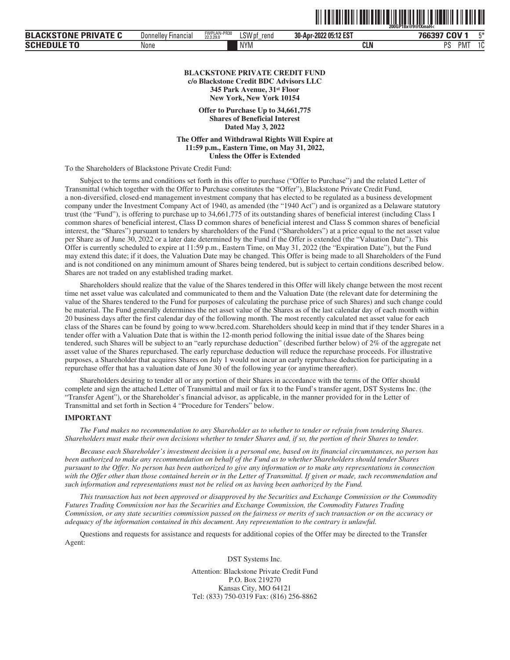|                             |                            |                          |             | $\parallel \parallel \parallel \parallel$ | II I DON O TOTT O III DON II DIN TOTTUNI<br>Z00GP18x@9@fXmaH< |
|-----------------------------|----------------------------|--------------------------|-------------|-------------------------------------------|---------------------------------------------------------------|
| <b>BLACKSTONE PRIVATE C</b> | <b>Donnelley Financial</b> | FWPLAN-PR30<br>22.3.29.0 | LSW pf rend | 30-Apr-2022 05:12 EST                     | 766397 COV 1                                                  |

PMT 1C

| <b>HEDULI</b><br>--<br>l U | None | NYM. | CLN | nc |
|----------------------------|------|------|-----|----|
|                            |      |      |     |    |

#### **BLACKSTONE PRIVATE CREDIT FUND c/o Blackstone Credit BDC Advisors LLC 345 Park Avenue, 31st Floor New York, New York 10154**

**Offer to Purchase Up to 34,661,775 Shares of Beneficial Interest Dated May 3, 2022**

**The Offer and Withdrawal Rights Will Expire at 11:59 p.m., Eastern Time, on May 31, 2022, Unless the Offer is Extended**

To the Shareholders of Blackstone Private Credit Fund:

Subject to the terms and conditions set forth in this offer to purchase ("Offer to Purchase") and the related Letter of Transmittal (which together with the Offer to Purchase constitutes the "Offer"), Blackstone Private Credit Fund, a non-diversified, closed-end management investment company that has elected to be regulated as a business development company under the Investment Company Act of 1940, as amended (the "1940 Act") and is organized as a Delaware statutory trust (the "Fund"), is offering to purchase up to 34,661,775 of its outstanding shares of beneficial interest (including Class I common shares of beneficial interest, Class D common shares of beneficial interest and Class S common shares of beneficial interest, the "Shares") pursuant to tenders by shareholders of the Fund ("Shareholders") at a price equal to the net asset value per Share as of June 30, 2022 or a later date determined by the Fund if the Offer is extended (the "Valuation Date"). This Offer is currently scheduled to expire at 11:59 p.m., Eastern Time, on May 31, 2022 (the "Expiration Date"), but the Fund may extend this date; if it does, the Valuation Date may be changed. This Offer is being made to all Shareholders of the Fund and is not conditioned on any minimum amount of Shares being tendered, but is subject to certain conditions described below. Shares are not traded on any established trading market.

Shareholders should realize that the value of the Shares tendered in this Offer will likely change between the most recent time net asset value was calculated and communicated to them and the Valuation Date (the relevant date for determining the value of the Shares tendered to the Fund for purposes of calculating the purchase price of such Shares) and such change could be material. The Fund generally determines the net asset value of the Shares as of the last calendar day of each month within 20 business days after the first calendar day of the following month. The most recently calculated net asset value for each class of the Shares can be found by going to www.bcred.com. Shareholders should keep in mind that if they tender Shares in a tender offer with a Valuation Date that is within the 12-month period following the initial issue date of the Shares being tendered, such Shares will be subject to an "early repurchase deduction" (described further below) of 2% of the aggregate net asset value of the Shares repurchased. The early repurchase deduction will reduce the repurchase proceeds. For illustrative purposes, a Shareholder that acquires Shares on July 1 would not incur an early repurchase deduction for participating in a repurchase offer that has a valuation date of June 30 of the following year (or anytime thereafter).

Shareholders desiring to tender all or any portion of their Shares in accordance with the terms of the Offer should complete and sign the attached Letter of Transmittal and mail or fax it to the Fund's transfer agent, DST Systems Inc. (the "Transfer Agent"), or the Shareholder's financial advisor, as applicable, in the manner provided for in the Letter of Transmittal and set forth in Section 4 "Procedure for Tenders" below.

#### **IMPORTANT**

**SCHEDULE TO**

*The Fund makes no recommendation to any Shareholder as to whether to tender or refrain from tendering Shares. Shareholders must make their own decisions whether to tender Shares and, if so, the portion of their Shares to tender.*

*Because each Shareholder's investment decision is a personal one, based on its financial circumstances, no person has been authorized to make any recommendation on behalf of the Fund as to whether Shareholders should tender Shares pursuant to the Offer. No person has been authorized to give any information or to make any representations in connection with the Offer other than those contained herein or in the Letter of Transmittal. If given or made, such recommendation and such information and representations must not be relied on as having been authorized by the Fund.*

*This transaction has not been approved or disapproved by the Securities and Exchange Commission or the Commodity Futures Trading Commission nor has the Securities and Exchange Commission, the Commodity Futures Trading Commission, or any state securities commission passed on the fairness or merits of such transaction or on the accuracy or adequacy of the information contained in this document. Any representation to the contrary is unlawful.*

Questions and requests for assistance and requests for additional copies of the Offer may be directed to the Transfer Agent:

DST Systems Inc.

Attention: Blackstone Private Credit Fund P.O. Box 219270 Kansas City, MO 64121 Tel: (833) 750-0319 Fax: (816) 256-8862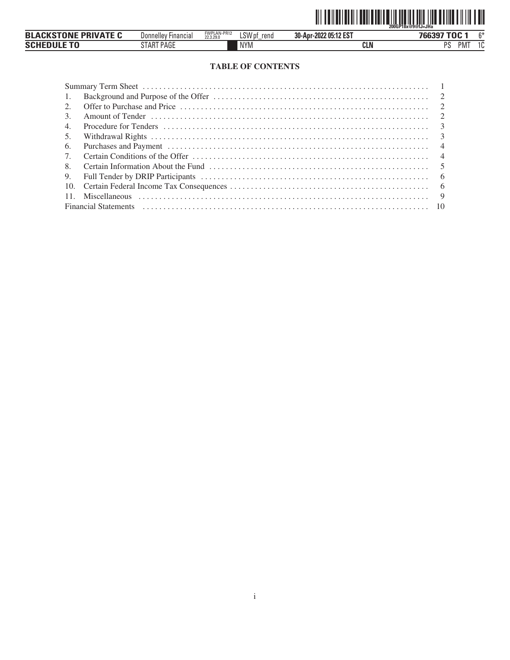

| <b>\CKSTONF PRIVATF</b><br><b>BLA</b> | <b>Donnelley</b><br><b>Financial</b>                  | FWPLAN-PR12<br>22.3.29.0 | 011<br>rend<br>LSW pf | -2022 05:12 EST<br>30-Apr- | $PROOF TOO \cdot$                 | $\sim$                         |
|---------------------------------------|-------------------------------------------------------|--------------------------|-----------------------|----------------------------|-----------------------------------|--------------------------------|
| SCHF <sup>®</sup>                     | $DT$ $D$ $A$ $D$ $F$<br>PAGL<br>ΙAΗ<br>' <b>1 mil</b> |                          | <b>NYM</b>            | <b>CLN</b>                 | <sub>D</sub> e<br>PM <sup>-</sup> | $\overline{\phantom{a}}$<br>טי |

# **TABLE OF CONTENTS**

| 1.                                                                                                                                                                                                                             |  |
|--------------------------------------------------------------------------------------------------------------------------------------------------------------------------------------------------------------------------------|--|
| 2.                                                                                                                                                                                                                             |  |
| 3.                                                                                                                                                                                                                             |  |
| 4.                                                                                                                                                                                                                             |  |
| 5.                                                                                                                                                                                                                             |  |
| 6.                                                                                                                                                                                                                             |  |
| $7_{\scriptscriptstyle{\circ}}$                                                                                                                                                                                                |  |
| 8.                                                                                                                                                                                                                             |  |
| 9.                                                                                                                                                                                                                             |  |
| 10.                                                                                                                                                                                                                            |  |
| 11.                                                                                                                                                                                                                            |  |
| Financial Statements (a) resonance and the contract of the contract of the contract of the contract of the contract of the contract of the contract of the contract of the contract of the contract of the contract of the con |  |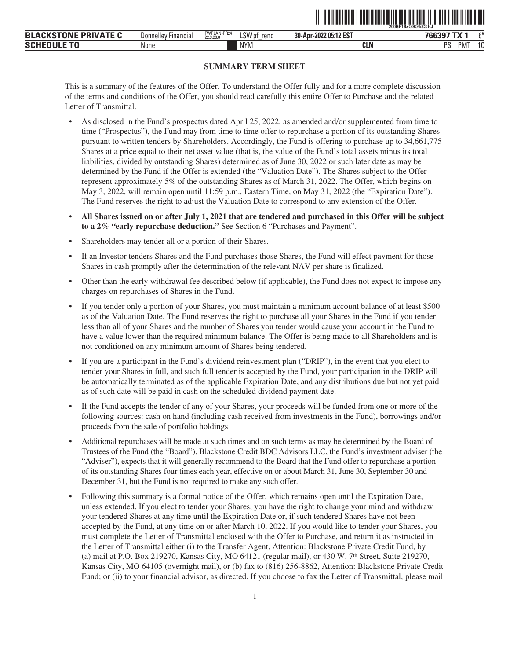<span id="page-3-0"></span>

|                                                   |                                |                          |                |                       | .<br>200GP18x@9@fi8@HJ            |               |
|---------------------------------------------------|--------------------------------|--------------------------|----------------|-----------------------|-----------------------------------|---------------|
| <b>PRIVATE C</b><br><b>EKSTONI</b><br><b>BLAC</b> | Jonnelley'<br><b>Financial</b> | FWPLAN-PR24<br>22.3.29.0 | LSW pf<br>rend | 30-Apr-2022 05:12 EST | 700007                            | n.x           |
| <b>SCHEDUL</b>                                    | None                           |                          | <b>NYM</b>     | <b>CLN</b>            | <sub>D</sub> e<br>PM <sup>-</sup> | $\sim$<br>ט י |

ˆ200GP18x@9@fi8@HJŠ **200GP18x@9@fi8@HJ**

# **SUMMARY TERM SHEET**

This is a summary of the features of the Offer. To understand the Offer fully and for a more complete discussion of the terms and conditions of the Offer, you should read carefully this entire Offer to Purchase and the related Letter of Transmittal.

- As disclosed in the Fund's prospectus dated April 25, 2022, as amended and/or supplemented from time to time ("Prospectus"), the Fund may from time to time offer to repurchase a portion of its outstanding Shares pursuant to written tenders by Shareholders. Accordingly, the Fund is offering to purchase up to 34,661,775 Shares at a price equal to their net asset value (that is, the value of the Fund's total assets minus its total liabilities, divided by outstanding Shares) determined as of June 30, 2022 or such later date as may be determined by the Fund if the Offer is extended (the "Valuation Date"). The Shares subject to the Offer represent approximately 5% of the outstanding Shares as of March 31, 2022. The Offer, which begins on May 3, 2022, will remain open until 11:59 p.m., Eastern Time, on May 31, 2022 (the "Expiration Date"). The Fund reserves the right to adjust the Valuation Date to correspond to any extension of the Offer.
- **All Shares issued on or after July 1, 2021 that are tendered and purchased in this Offer will be subject to a 2% "early repurchase deduction."** See Section 6 "Purchases and Payment".
- Shareholders may tender all or a portion of their Shares.
- If an Investor tenders Shares and the Fund purchases those Shares, the Fund will effect payment for those Shares in cash promptly after the determination of the relevant NAV per share is finalized.
- Other than the early withdrawal fee described below (if applicable), the Fund does not expect to impose any charges on repurchases of Shares in the Fund.
- If you tender only a portion of your Shares, you must maintain a minimum account balance of at least \$500 as of the Valuation Date. The Fund reserves the right to purchase all your Shares in the Fund if you tender less than all of your Shares and the number of Shares you tender would cause your account in the Fund to have a value lower than the required minimum balance. The Offer is being made to all Shareholders and is not conditioned on any minimum amount of Shares being tendered.
- If you are a participant in the Fund's dividend reinvestment plan ("DRIP"), in the event that you elect to tender your Shares in full, and such full tender is accepted by the Fund, your participation in the DRIP will be automatically terminated as of the applicable Expiration Date, and any distributions due but not yet paid as of such date will be paid in cash on the scheduled dividend payment date.
- If the Fund accepts the tender of any of your Shares, your proceeds will be funded from one or more of the following sources: cash on hand (including cash received from investments in the Fund), borrowings and/or proceeds from the sale of portfolio holdings.
- Additional repurchases will be made at such times and on such terms as may be determined by the Board of Trustees of the Fund (the "Board"). Blackstone Credit BDC Advisors LLC, the Fund's investment adviser (the "Adviser"), expects that it will generally recommend to the Board that the Fund offer to repurchase a portion of its outstanding Shares four times each year, effective on or about March 31, June 30, September 30 and December 31, but the Fund is not required to make any such offer.
- Following this summary is a formal notice of the Offer, which remains open until the Expiration Date, unless extended. If you elect to tender your Shares, you have the right to change your mind and withdraw your tendered Shares at any time until the Expiration Date or, if such tendered Shares have not been accepted by the Fund, at any time on or after March 10, 2022. If you would like to tender your Shares, you must complete the Letter of Transmittal enclosed with the Offer to Purchase, and return it as instructed in the Letter of Transmittal either (i) to the Transfer Agent, Attention: Blackstone Private Credit Fund, by (a) mail at P.O. Box 219270, Kansas City, MO 64121 (regular mail), or 430 W. 7th Street, Suite 219270, Kansas City, MO 64105 (overnight mail), or (b) fax to (816) 256-8862, Attention: Blackstone Private Credit Fund; or (ii) to your financial advisor, as directed. If you choose to fax the Letter of Transmittal, please mail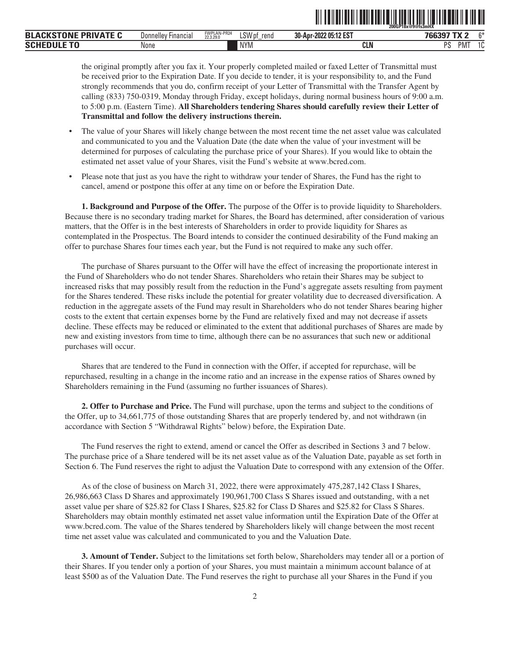|                              |                        |                          |                          |                       | ZUUGP18X@9@IS3MHA                            |          |
|------------------------------|------------------------|--------------------------|--------------------------|-----------------------|----------------------------------------------|----------|
| DDIVATE<br><b>BLA</b><br>-ח. | Financial<br>Donnellev | FWPLAN-PR24<br>22.3.29.0 | <b>LSWr</b><br>rend<br>. | 30-Apr-2022 05:12 EST | ה עיד דמחי                                   | $\sim$   |
| EDULI<br>--<br>SCH           | None                   |                          | <b>NYM</b>               | ni R<br>CLN           | <sub>D</sub> <sub>C</sub><br>PM <sup>-</sup> | . .<br>L |

ˆ200GP18x@9@fs3mHXŠ **200GP18x@9@fs3mHX**

the original promptly after you fax it. Your properly completed mailed or faxed Letter of Transmittal must be received prior to the Expiration Date. If you decide to tender, it is your responsibility to, and the Fund strongly recommends that you do, confirm receipt of your Letter of Transmittal with the Transfer Agent by calling (833) 750-0319, Monday through Friday, except holidays, during normal business hours of 9:00 a.m. to 5:00 p.m. (Eastern Time). **All Shareholders tendering Shares should carefully review their Letter of Transmittal and follow the delivery instructions therein.**

- The value of your Shares will likely change between the most recent time the net asset value was calculated and communicated to you and the Valuation Date (the date when the value of your investment will be determined for purposes of calculating the purchase price of your Shares). If you would like to obtain the estimated net asset value of your Shares, visit the Fund's website at www.bcred.com.
- Please note that just as you have the right to withdraw your tender of Shares, the Fund has the right to cancel, amend or postpone this offer at any time on or before the Expiration Date.

<span id="page-4-0"></span>**1. Background and Purpose of the Offer.** The purpose of the Offer is to provide liquidity to Shareholders. Because there is no secondary trading market for Shares, the Board has determined, after consideration of various matters, that the Offer is in the best interests of Shareholders in order to provide liquidity for Shares as contemplated in the Prospectus. The Board intends to consider the continued desirability of the Fund making an offer to purchase Shares four times each year, but the Fund is not required to make any such offer.

The purchase of Shares pursuant to the Offer will have the effect of increasing the proportionate interest in the Fund of Shareholders who do not tender Shares. Shareholders who retain their Shares may be subject to increased risks that may possibly result from the reduction in the Fund's aggregate assets resulting from payment for the Shares tendered. These risks include the potential for greater volatility due to decreased diversification. A reduction in the aggregate assets of the Fund may result in Shareholders who do not tender Shares bearing higher costs to the extent that certain expenses borne by the Fund are relatively fixed and may not decrease if assets decline. These effects may be reduced or eliminated to the extent that additional purchases of Shares are made by new and existing investors from time to time, although there can be no assurances that such new or additional purchases will occur.

Shares that are tendered to the Fund in connection with the Offer, if accepted for repurchase, will be repurchased, resulting in a change in the income ratio and an increase in the expense ratios of Shares owned by Shareholders remaining in the Fund (assuming no further issuances of Shares).

<span id="page-4-1"></span>**2. Offer to Purchase and Price.** The Fund will purchase, upon the terms and subject to the conditions of the Offer, up to 34,661,775 of those outstanding Shares that are properly tendered by, and not withdrawn (in accordance with Section 5 "Withdrawal Rights" below) before, the Expiration Date.

The Fund reserves the right to extend, amend or cancel the Offer as described in Sections 3 and 7 below. The purchase price of a Share tendered will be its net asset value as of the Valuation Date, payable as set forth in Section 6. The Fund reserves the right to adjust the Valuation Date to correspond with any extension of the Offer.

As of the close of business on March 31, 2022, there were approximately 475,287,142 Class I Shares, 26,986,663 Class D Shares and approximately 190,961,700 Class S Shares issued and outstanding, with a net asset value per share of \$25.82 for Class I Shares, \$25.82 for Class D Shares and \$25.82 for Class S Shares. Shareholders may obtain monthly estimated net asset value information until the Expiration Date of the Offer at www.bcred.com. The value of the Shares tendered by Shareholders likely will change between the most recent time net asset value was calculated and communicated to you and the Valuation Date.

<span id="page-4-2"></span>**3. Amount of Tender.** Subject to the limitations set forth below, Shareholders may tender all or a portion of their Shares. If you tender only a portion of your Shares, you must maintain a minimum account balance of at least \$500 as of the Valuation Date. The Fund reserves the right to purchase all your Shares in the Fund if you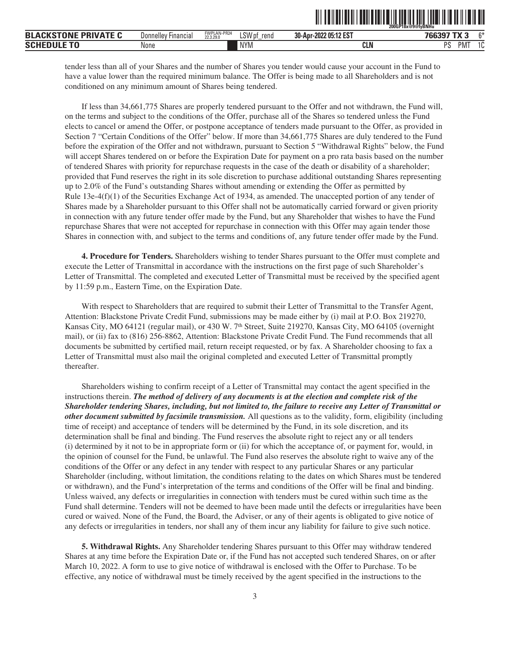|                                |                                              |                          |                |                       | <b>200GP18x@9@fvBNHu</b>    |           |
|--------------------------------|----------------------------------------------|--------------------------|----------------|-----------------------|-----------------------------|-----------|
| <b>PRIVATE C</b><br><b>BLA</b> | $- \cdot$<br>' Financia.<br><b>Donnellev</b> | FWPLAN-PR24<br>22,3,29.0 | LSW pf<br>rend | 30-Apr-2022 05:12 EST | 7CC307 TV<br>/ OC           | $^{\sim}$ |
| <b>SCHEDUL</b>                 | None                                         |                          | <b>NYM</b>     | CLN                   | <sub>D</sub> e<br>PM.<br>ັບ | ۰ ۾<br>טו |

TIT TO HOLD FOR THE THEFT OF THE TELL THAT HE HE HE HE HE HE

tender less than all of your Shares and the number of Shares you tender would cause your account in the Fund to have a value lower than the required minimum balance. The Offer is being made to all Shareholders and is not conditioned on any minimum amount of Shares being tendered.

If less than 34,661,775 Shares are properly tendered pursuant to the Offer and not withdrawn, the Fund will, on the terms and subject to the conditions of the Offer, purchase all of the Shares so tendered unless the Fund elects to cancel or amend the Offer, or postpone acceptance of tenders made pursuant to the Offer, as provided in Section 7 "Certain Conditions of the Offer" below. If more than 34,661,775 Shares are duly tendered to the Fund before the expiration of the Offer and not withdrawn, pursuant to Section 5 "Withdrawal Rights" below, the Fund will accept Shares tendered on or before the Expiration Date for payment on a pro rata basis based on the number of tendered Shares with priority for repurchase requests in the case of the death or disability of a shareholder; provided that Fund reserves the right in its sole discretion to purchase additional outstanding Shares representing up to 2.0% of the Fund's outstanding Shares without amending or extending the Offer as permitted by Rule 13e-4(f)(1) of the Securities Exchange Act of 1934, as amended. The unaccepted portion of any tender of Shares made by a Shareholder pursuant to this Offer shall not be automatically carried forward or given priority in connection with any future tender offer made by the Fund, but any Shareholder that wishes to have the Fund repurchase Shares that were not accepted for repurchase in connection with this Offer may again tender those Shares in connection with, and subject to the terms and conditions of, any future tender offer made by the Fund.

<span id="page-5-0"></span>**4. Procedure for Tenders.** Shareholders wishing to tender Shares pursuant to the Offer must complete and execute the Letter of Transmittal in accordance with the instructions on the first page of such Shareholder's Letter of Transmittal. The completed and executed Letter of Transmittal must be received by the specified agent by 11:59 p.m., Eastern Time, on the Expiration Date.

With respect to Shareholders that are required to submit their Letter of Transmittal to the Transfer Agent, Attention: Blackstone Private Credit Fund, submissions may be made either by (i) mail at P.O. Box 219270, Kansas City, MO 64121 (regular mail), or 430 W. 7<sup>th</sup> Street, Suite 219270, Kansas City, MO 64105 (overnight mail), or (ii) fax to (816) 256-8862, Attention: Blackstone Private Credit Fund. The Fund recommends that all documents be submitted by certified mail, return receipt requested, or by fax. A Shareholder choosing to fax a Letter of Transmittal must also mail the original completed and executed Letter of Transmittal promptly thereafter.

Shareholders wishing to confirm receipt of a Letter of Transmittal may contact the agent specified in the instructions therein. *The method of delivery of any documents is at the election and complete risk of the Shareholder tendering Shares, including, but not limited to, the failure to receive any Letter of Transmittal or other document submitted by facsimile transmission.* All questions as to the validity, form, eligibility (including time of receipt) and acceptance of tenders will be determined by the Fund, in its sole discretion, and its determination shall be final and binding. The Fund reserves the absolute right to reject any or all tenders (i) determined by it not to be in appropriate form or (ii) for which the acceptance of, or payment for, would, in the opinion of counsel for the Fund, be unlawful. The Fund also reserves the absolute right to waive any of the conditions of the Offer or any defect in any tender with respect to any particular Shares or any particular Shareholder (including, without limitation, the conditions relating to the dates on which Shares must be tendered or withdrawn), and the Fund's interpretation of the terms and conditions of the Offer will be final and binding. Unless waived, any defects or irregularities in connection with tenders must be cured within such time as the Fund shall determine. Tenders will not be deemed to have been made until the defects or irregularities have been cured or waived. None of the Fund, the Board, the Adviser, or any of their agents is obligated to give notice of any defects or irregularities in tenders, nor shall any of them incur any liability for failure to give such notice.

<span id="page-5-1"></span>**5. Withdrawal Rights.** Any Shareholder tendering Shares pursuant to this Offer may withdraw tendered Shares at any time before the Expiration Date or, if the Fund has not accepted such tendered Shares, on or after March 10, 2022. A form to use to give notice of withdrawal is enclosed with the Offer to Purchase. To be effective, any notice of withdrawal must be timely received by the agent specified in the instructions to the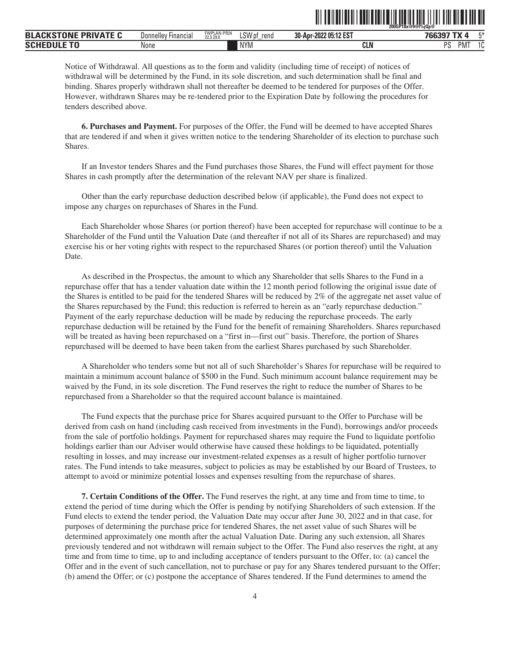|                             |                            |                          |                | <u>HIIIIIIII</u><br><u> III ANII ANII ANII ANII ANII ANII ANI</u> | <u>TIILIILII TIIL</u><br>~200GP18x@9@f%jQp@ |
|-----------------------------|----------------------------|--------------------------|----------------|-------------------------------------------------------------------|---------------------------------------------|
| <b>BLACKSTONE PRIVATE C</b> | <b>Donnelley Financial</b> | FWPLAN-PR24<br>22.3.29.0 | LSW pf<br>rend | 30-Apr-2022 05:12 EST                                             | 766397 TX 4<br>工米                           |
| <b>SCHEDULE TO</b>          | None                       |                          | <b>NYM</b>     | <b>CLN</b>                                                        | PS<br>PMT<br>$\sim$<br>v                    |

Notice of Withdrawal. All questions as to the form and validity (including time of receipt) of notices of withdrawal will be determined by the Fund, in its sole discretion, and such determination shall be final and binding. Shares properly withdrawn shall not thereafter be deemed to be tendered for purposes of the Offer. However, withdrawn Shares may be re-tendered prior to the Expiration Date by following the procedures for tenders described above.

<span id="page-6-0"></span>**6. Purchases and Payment.** For purposes of the Offer, the Fund will be deemed to have accepted Shares that are tendered if and when it gives written notice to the tendering Shareholder of its election to purchase such Shares.

If an Investor tenders Shares and the Fund purchases those Shares, the Fund will effect payment for those Shares in cash promptly after the determination of the relevant NAV per share is finalized.

Other than the early repurchase deduction described below (if applicable), the Fund does not expect to impose any charges on repurchases of Shares in the Fund.

Each Shareholder whose Shares (or portion thereof) have been accepted for repurchase will continue to be a Shareholder of the Fund until the Valuation Date (and thereafter if not all of its Shares are repurchased) and may exercise his or her voting rights with respect to the repurchased Shares (or portion thereof) until the Valuation Date.

As described in the Prospectus, the amount to which any Shareholder that sells Shares to the Fund in a repurchase offer that has a tender valuation date within the 12 month period following the original issue date of the Shares is entitled to be paid for the tendered Shares will be reduced by 2% of the aggregate net asset value of the Shares repurchased by the Fund; this reduction is referred to herein as an "early repurchase deduction." Payment of the early repurchase deduction will be made by reducing the repurchase proceeds. The early repurchase deduction will be retained by the Fund for the benefit of remaining Shareholders. Shares repurchased will be treated as having been repurchased on a "first in—first out" basis. Therefore, the portion of Shares repurchased will be deemed to have been taken from the earliest Shares purchased by such Shareholder.

A Shareholder who tenders some but not all of such Shareholder's Shares for repurchase will be required to maintain a minimum account balance of \$500 in the Fund. Such minimum account balance requirement may be waived by the Fund, in its sole discretion. The Fund reserves the right to reduce the number of Shares to be repurchased from a Shareholder so that the required account balance is maintained.

The Fund expects that the purchase price for Shares acquired pursuant to the Offer to Purchase will be derived from cash on hand (including cash received from investments in the Fund), borrowings and/or proceeds from the sale of portfolio holdings. Payment for repurchased shares may require the Fund to liquidate portfolio holdings earlier than our Adviser would otherwise have caused these holdings to be liquidated, potentially resulting in losses, and may increase our investment-related expenses as a result of higher portfolio turnover rates. The Fund intends to take measures, subject to policies as may be established by our Board of Trustees, to attempt to avoid or minimize potential losses and expenses resulting from the repurchase of shares.

<span id="page-6-1"></span>**7. Certain Conditions of the Offer.** The Fund reserves the right, at any time and from time to time, to extend the period of time during which the Offer is pending by notifying Shareholders of such extension. If the Fund elects to extend the tender period, the Valuation Date may occur after June 30, 2022 and in that case, for purposes of determining the purchase price for tendered Shares, the net asset value of such Shares will be determined approximately one month after the actual Valuation Date. During any such extension, all Shares previously tendered and not withdrawn will remain subject to the Offer. The Fund also reserves the right, at any time and from time to time, up to and including acceptance of tenders pursuant to the Offer, to: (a) cancel the Offer and in the event of such cancellation, not to purchase or pay for any Shares tendered pursuant to the Offer; (b) amend the Offer; or (c) postpone the acceptance of Shares tendered. If the Fund determines to amend the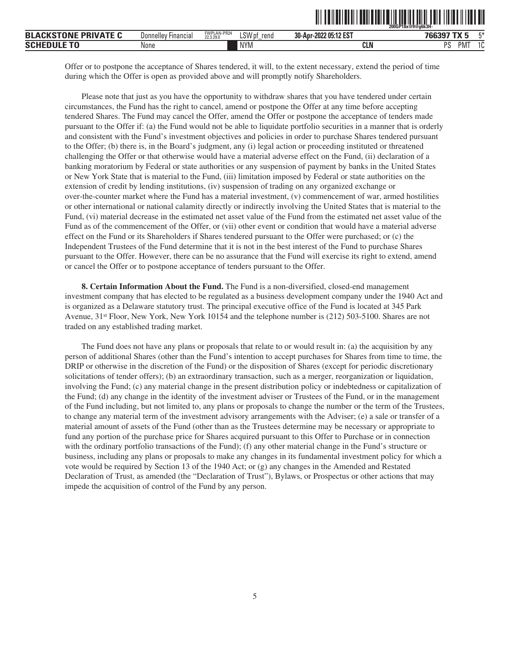|                             |                     |                          |                |                       | 200GP18x@9@a6k3H-            |
|-----------------------------|---------------------|--------------------------|----------------|-----------------------|------------------------------|
| <b>BLACKSTONE PRIVATE C</b> | Donnellev Financial | FWPLAN-PR24<br>22.3.29.0 | LSW pf<br>rend | 30-Apr-2022 05:12 EST | E*<br>766397                 |
| <b>SCHEDULE</b>             | None                |                          | <b>NYM</b>     | <b>CLN</b>            | DC<br>$\Lambda$<br>PMT<br>ΙU |

ˆ200GP18x@9@g6k3H-Š

Offer or to postpone the acceptance of Shares tendered, it will, to the extent necessary, extend the period of time during which the Offer is open as provided above and will promptly notify Shareholders.

Please note that just as you have the opportunity to withdraw shares that you have tendered under certain circumstances, the Fund has the right to cancel, amend or postpone the Offer at any time before accepting tendered Shares. The Fund may cancel the Offer, amend the Offer or postpone the acceptance of tenders made pursuant to the Offer if: (a) the Fund would not be able to liquidate portfolio securities in a manner that is orderly and consistent with the Fund's investment objectives and policies in order to purchase Shares tendered pursuant to the Offer; (b) there is, in the Board's judgment, any (i) legal action or proceeding instituted or threatened challenging the Offer or that otherwise would have a material adverse effect on the Fund, (ii) declaration of a banking moratorium by Federal or state authorities or any suspension of payment by banks in the United States or New York State that is material to the Fund, (iii) limitation imposed by Federal or state authorities on the extension of credit by lending institutions, (iv) suspension of trading on any organized exchange or over-the-counter market where the Fund has a material investment, (v) commencement of war, armed hostilities or other international or national calamity directly or indirectly involving the United States that is material to the Fund, (vi) material decrease in the estimated net asset value of the Fund from the estimated net asset value of the Fund as of the commencement of the Offer, or (vii) other event or condition that would have a material adverse effect on the Fund or its Shareholders if Shares tendered pursuant to the Offer were purchased; or (c) the Independent Trustees of the Fund determine that it is not in the best interest of the Fund to purchase Shares pursuant to the Offer. However, there can be no assurance that the Fund will exercise its right to extend, amend or cancel the Offer or to postpone acceptance of tenders pursuant to the Offer.

<span id="page-7-0"></span>**8. Certain Information About the Fund.** The Fund is a non-diversified, closed-end management investment company that has elected to be regulated as a business development company under the 1940 Act and is organized as a Delaware statutory trust. The principal executive office of the Fund is located at 345 Park Avenue, 31st Floor, New York, New York 10154 and the telephone number is (212) 503-5100. Shares are not traded on any established trading market.

The Fund does not have any plans or proposals that relate to or would result in: (a) the acquisition by any person of additional Shares (other than the Fund's intention to accept purchases for Shares from time to time, the DRIP or otherwise in the discretion of the Fund) or the disposition of Shares (except for periodic discretionary solicitations of tender offers); (b) an extraordinary transaction, such as a merger, reorganization or liquidation, involving the Fund; (c) any material change in the present distribution policy or indebtedness or capitalization of the Fund; (d) any change in the identity of the investment adviser or Trustees of the Fund, or in the management of the Fund including, but not limited to, any plans or proposals to change the number or the term of the Trustees, to change any material term of the investment advisory arrangements with the Adviser; (e) a sale or transfer of a material amount of assets of the Fund (other than as the Trustees determine may be necessary or appropriate to fund any portion of the purchase price for Shares acquired pursuant to this Offer to Purchase or in connection with the ordinary portfolio transactions of the Fund); (f) any other material change in the Fund's structure or business, including any plans or proposals to make any changes in its fundamental investment policy for which a vote would be required by Section 13 of the 1940 Act; or (g) any changes in the Amended and Restated Declaration of Trust, as amended (the "Declaration of Trust"), Bylaws, or Prospectus or other actions that may impede the acquisition of control of the Fund by any person.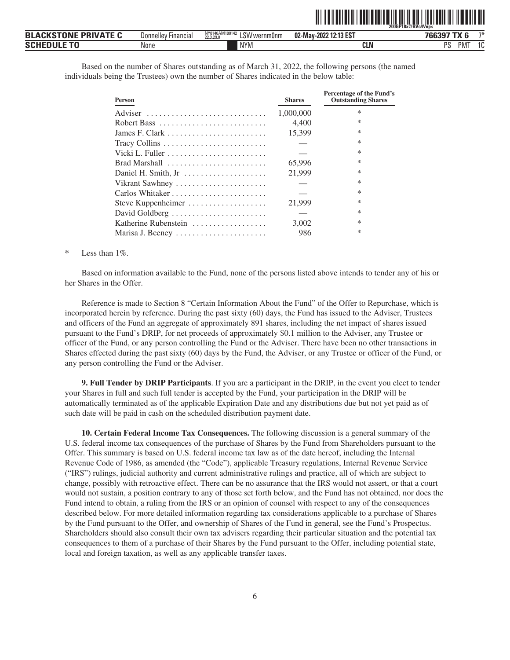|                             |                     |                                             |                       | 200GP18x@BVc4Ven<                |
|-----------------------------|---------------------|---------------------------------------------|-----------------------|----------------------------------|
| <b>BLACKSTONE PRIVATE C</b> | Donnelley Financial | NY0146AM100142<br>LSW wernm0nm<br>22.3.29.0 | 02-May-2022 12:13 EST | 74<br>766397<br>$\sim$ TV $\sim$ |
| <b>SCHEDULE TO</b>          | None                | NYM                                         | <b>CLN</b>            | DC<br>PM <sup>-</sup><br>10      |

TI) TENEN ELI TENEN BITAN DI LETIH BITAN DI LETIH DI NEBELI TIL

Based on the number of Shares outstanding as of March 31, 2022, the following persons (the named individuals being the Trustees) own the number of Shares indicated in the below table:

| Person                                                           | <b>Shares</b> | Percentage of the Fund's<br><b>Outstanding Shares</b> |
|------------------------------------------------------------------|---------------|-------------------------------------------------------|
| Adviser                                                          | 1,000,000     | $\ast$                                                |
|                                                                  | 4.400         | $\ast$                                                |
| James F. Clark $\dots \dots \dots \dots \dots \dots \dots \dots$ | 15,399        | $\ast$                                                |
| Tracy Collins                                                    |               | $\ast$                                                |
|                                                                  |               | $\ast$                                                |
| Brad Marshall $\ldots \ldots \ldots \ldots \ldots \ldots$        | 65,996        | $\ast$                                                |
| Daniel H. Smith, Jr                                              | 21,999        | $\ast$                                                |
| Vikrant Sawhney                                                  |               | $\ast$                                                |
| Carlos Whitaker                                                  |               | $\ast$                                                |
| Steve Kuppenheimer                                               | 21,999        | $\ast$                                                |
| David Goldberg                                                   |               | $\ast$                                                |
| Katherine Rubenstein                                             | 3.002         | $\ast$                                                |
| Marisa J. Beeney                                                 | 986           | $\ast$                                                |

#### **\*** Less than 1%.

Based on information available to the Fund, none of the persons listed above intends to tender any of his or her Shares in the Offer.

Reference is made to Section 8 "Certain Information About the Fund" of the Offer to Repurchase, which is incorporated herein by reference. During the past sixty (60) days, the Fund has issued to the Adviser, Trustees and officers of the Fund an aggregate of approximately 891 shares, including the net impact of shares issued pursuant to the Fund's DRIP, for net proceeds of approximately \$0.1 million to the Adviser, any Trustee or officer of the Fund, or any person controlling the Fund or the Adviser. There have been no other transactions in Shares effected during the past sixty (60) days by the Fund, the Adviser, or any Trustee or officer of the Fund, or any person controlling the Fund or the Adviser.

<span id="page-8-0"></span>**9. Full Tender by DRIP Participants**. If you are a participant in the DRIP, in the event you elect to tender your Shares in full and such full tender is accepted by the Fund, your participation in the DRIP will be automatically terminated as of the applicable Expiration Date and any distributions due but not yet paid as of such date will be paid in cash on the scheduled distribution payment date.

<span id="page-8-1"></span>**10. Certain Federal Income Tax Consequences.** The following discussion is a general summary of the U.S. federal income tax consequences of the purchase of Shares by the Fund from Shareholders pursuant to the Offer. This summary is based on U.S. federal income tax law as of the date hereof, including the Internal Revenue Code of 1986, as amended (the "Code"), applicable Treasury regulations, Internal Revenue Service ("IRS") rulings, judicial authority and current administrative rulings and practice, all of which are subject to change, possibly with retroactive effect. There can be no assurance that the IRS would not assert, or that a court would not sustain, a position contrary to any of those set forth below, and the Fund has not obtained, nor does the Fund intend to obtain, a ruling from the IRS or an opinion of counsel with respect to any of the consequences described below. For more detailed information regarding tax considerations applicable to a purchase of Shares by the Fund pursuant to the Offer, and ownership of Shares of the Fund in general, see the Fund's Prospectus. Shareholders should also consult their own tax advisers regarding their particular situation and the potential tax consequences to them of a purchase of their Shares by the Fund pursuant to the Offer, including potential state, local and foreign taxation, as well as any applicable transfer taxes.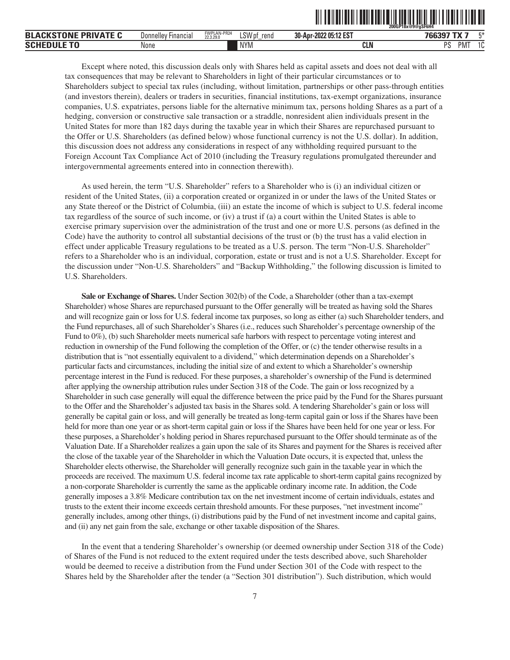| <b>BLACKSTONE PRIVATE C</b> | <b>Donnelley Financial</b> | FWPLAN-PR24<br>22.3.29.0 | LSW pf<br>rend | 30-Apr-2022 05:12 EST | 766397 TX<br>۳* |
|-----------------------------|----------------------------|--------------------------|----------------|-----------------------|-----------------|
| <b>Schedule To</b>          | None                       |                          | <b>NYM</b>     | <b>CLN</b>            | 10<br>PMT<br>PS |

Except where noted, this discussion deals only with Shares held as capital assets and does not deal with all tax consequences that may be relevant to Shareholders in light of their particular circumstances or to Shareholders subject to special tax rules (including, without limitation, partnerships or other pass-through entities (and investors therein), dealers or traders in securities, financial institutions, tax-exempt organizations, insurance companies, U.S. expatriates, persons liable for the alternative minimum tax, persons holding Shares as a part of a hedging, conversion or constructive sale transaction or a straddle, nonresident alien individuals present in the United States for more than 182 days during the taxable year in which their Shares are repurchased pursuant to the Offer or U.S. Shareholders (as defined below) whose functional currency is not the U.S. dollar). In addition, this discussion does not address any considerations in respect of any withholding required pursuant to the Foreign Account Tax Compliance Act of 2010 (including the Treasury regulations promulgated thereunder and intergovernmental agreements entered into in connection therewith).

As used herein, the term "U.S. Shareholder" refers to a Shareholder who is (i) an individual citizen or resident of the United States, (ii) a corporation created or organized in or under the laws of the United States or any State thereof or the District of Columbia, (iii) an estate the income of which is subject to U.S. federal income tax regardless of the source of such income, or (iv) a trust if (a) a court within the United States is able to exercise primary supervision over the administration of the trust and one or more U.S. persons (as defined in the Code) have the authority to control all substantial decisions of the trust or (b) the trust has a valid election in effect under applicable Treasury regulations to be treated as a U.S. person. The term "Non-U.S. Shareholder" refers to a Shareholder who is an individual, corporation, estate or trust and is not a U.S. Shareholder. Except for the discussion under "Non-U.S. Shareholders" and "Backup Withholding," the following discussion is limited to U.S. Shareholders.

**Sale or Exchange of Shares.** Under Section 302(b) of the Code, a Shareholder (other than a tax-exempt Shareholder) whose Shares are repurchased pursuant to the Offer generally will be treated as having sold the Shares and will recognize gain or loss for U.S. federal income tax purposes, so long as either (a) such Shareholder tenders, and the Fund repurchases, all of such Shareholder's Shares (i.e., reduces such Shareholder's percentage ownership of the Fund to 0%), (b) such Shareholder meets numerical safe harbors with respect to percentage voting interest and reduction in ownership of the Fund following the completion of the Offer, or (c) the tender otherwise results in a distribution that is "not essentially equivalent to a dividend," which determination depends on a Shareholder's particular facts and circumstances, including the initial size of and extent to which a Shareholder's ownership percentage interest in the Fund is reduced. For these purposes, a shareholder's ownership of the Fund is determined after applying the ownership attribution rules under Section 318 of the Code. The gain or loss recognized by a Shareholder in such case generally will equal the difference between the price paid by the Fund for the Shares pursuant to the Offer and the Shareholder's adjusted tax basis in the Shares sold. A tendering Shareholder's gain or loss will generally be capital gain or loss, and will generally be treated as long-term capital gain or loss if the Shares have been held for more than one year or as short-term capital gain or loss if the Shares have been held for one year or less. For these purposes, a Shareholder's holding period in Shares repurchased pursuant to the Offer should terminate as of the Valuation Date. If a Shareholder realizes a gain upon the sale of its Shares and payment for the Shares is received after the close of the taxable year of the Shareholder in which the Valuation Date occurs, it is expected that, unless the Shareholder elects otherwise, the Shareholder will generally recognize such gain in the taxable year in which the proceeds are received. The maximum U.S. federal income tax rate applicable to short-term capital gains recognized by a non-corporate Shareholder is currently the same as the applicable ordinary income rate. In addition, the Code generally imposes a 3.8% Medicare contribution tax on the net investment income of certain individuals, estates and trusts to the extent their income exceeds certain threshold amounts. For these purposes, "net investment income" generally includes, among other things, (i) distributions paid by the Fund of net investment income and capital gains, and (ii) any net gain from the sale, exchange or other taxable disposition of the Shares.

In the event that a tendering Shareholder's ownership (or deemed ownership under Section 318 of the Code) of Shares of the Fund is not reduced to the extent required under the tests described above, such Shareholder would be deemed to receive a distribution from the Fund under Section 301 of the Code with respect to the Shares held by the Shareholder after the tender (a "Section 301 distribution"). Such distribution, which would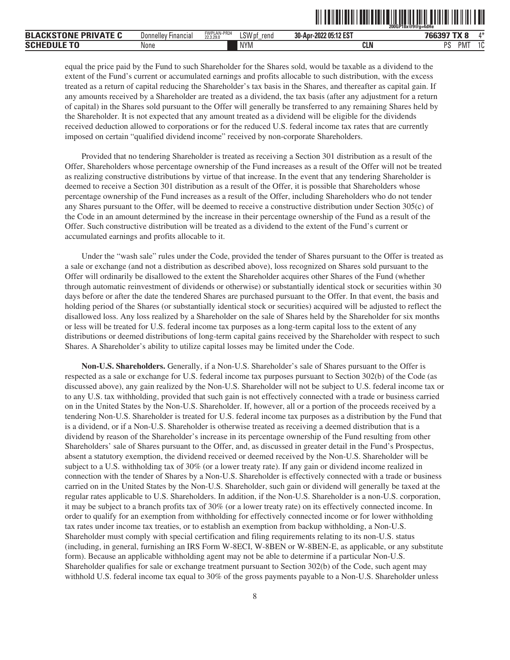|                             |                            |                          |                |                       | <u>III TENETITEIN FEINEINI ENI TENETITEIN ON HINE K</u><br>Ш<br>200GP18x@9@a=4dHe |
|-----------------------------|----------------------------|--------------------------|----------------|-----------------------|-----------------------------------------------------------------------------------|
| <b>BLACKSTONE PRIVATE C</b> | <b>Donnelley Financial</b> | FWPLAN-PR24<br>22.3.29.0 | ∟SW pf<br>rena | 30-Apr-2022 05:12 EST | $\Lambda^*$<br>766397 TX 8                                                        |
| <b>SCHEDULE TO</b>          | None                       |                          | <b>NYM</b>     | CLN                   | PMT<br>10<br>PS<br>ΙU                                                             |

equal the price paid by the Fund to such Shareholder for the Shares sold, would be taxable as a dividend to the extent of the Fund's current or accumulated earnings and profits allocable to such distribution, with the excess treated as a return of capital reducing the Shareholder's tax basis in the Shares, and thereafter as capital gain. If any amounts received by a Shareholder are treated as a dividend, the tax basis (after any adjustment for a return of capital) in the Shares sold pursuant to the Offer will generally be transferred to any remaining Shares held by the Shareholder. It is not expected that any amount treated as a dividend will be eligible for the dividends received deduction allowed to corporations or for the reduced U.S. federal income tax rates that are currently imposed on certain "qualified dividend income" received by non-corporate Shareholders.

Provided that no tendering Shareholder is treated as receiving a Section 301 distribution as a result of the Offer, Shareholders whose percentage ownership of the Fund increases as a result of the Offer will not be treated as realizing constructive distributions by virtue of that increase. In the event that any tendering Shareholder is deemed to receive a Section 301 distribution as a result of the Offer, it is possible that Shareholders whose percentage ownership of the Fund increases as a result of the Offer, including Shareholders who do not tender any Shares pursuant to the Offer, will be deemed to receive a constructive distribution under Section 305(c) of the Code in an amount determined by the increase in their percentage ownership of the Fund as a result of the Offer. Such constructive distribution will be treated as a dividend to the extent of the Fund's current or accumulated earnings and profits allocable to it.

Under the "wash sale" rules under the Code, provided the tender of Shares pursuant to the Offer is treated as a sale or exchange (and not a distribution as described above), loss recognized on Shares sold pursuant to the Offer will ordinarily be disallowed to the extent the Shareholder acquires other Shares of the Fund (whether through automatic reinvestment of dividends or otherwise) or substantially identical stock or securities within 30 days before or after the date the tendered Shares are purchased pursuant to the Offer. In that event, the basis and holding period of the Shares (or substantially identical stock or securities) acquired will be adjusted to reflect the disallowed loss. Any loss realized by a Shareholder on the sale of Shares held by the Shareholder for six months or less will be treated for U.S. federal income tax purposes as a long-term capital loss to the extent of any distributions or deemed distributions of long-term capital gains received by the Shareholder with respect to such Shares. A Shareholder's ability to utilize capital losses may be limited under the Code.

**Non-U.S. Shareholders.** Generally, if a Non-U.S. Shareholder's sale of Shares pursuant to the Offer is respected as a sale or exchange for U.S. federal income tax purposes pursuant to Section 302(b) of the Code (as discussed above), any gain realized by the Non-U.S. Shareholder will not be subject to U.S. federal income tax or to any U.S. tax withholding, provided that such gain is not effectively connected with a trade or business carried on in the United States by the Non-U.S. Shareholder. If, however, all or a portion of the proceeds received by a tendering Non-U.S. Shareholder is treated for U.S. federal income tax purposes as a distribution by the Fund that is a dividend, or if a Non-U.S. Shareholder is otherwise treated as receiving a deemed distribution that is a dividend by reason of the Shareholder's increase in its percentage ownership of the Fund resulting from other Shareholders' sale of Shares pursuant to the Offer, and, as discussed in greater detail in the Fund's Prospectus, absent a statutory exemption, the dividend received or deemed received by the Non-U.S. Shareholder will be subject to a U.S. withholding tax of 30% (or a lower treaty rate). If any gain or dividend income realized in connection with the tender of Shares by a Non-U.S. Shareholder is effectively connected with a trade or business carried on in the United States by the Non-U.S. Shareholder, such gain or dividend will generally be taxed at the regular rates applicable to U.S. Shareholders. In addition, if the Non-U.S. Shareholder is a non-U.S. corporation, it may be subject to a branch profits tax of 30% (or a lower treaty rate) on its effectively connected income. In order to qualify for an exemption from withholding for effectively connected income or for lower withholding tax rates under income tax treaties, or to establish an exemption from backup withholding, a Non-U.S. Shareholder must comply with special certification and filing requirements relating to its non-U.S. status (including, in general, furnishing an IRS Form W-8ECI, W-8BEN or W-8BEN-E, as applicable, or any substitute form). Because an applicable withholding agent may not be able to determine if a particular Non-U.S. Shareholder qualifies for sale or exchange treatment pursuant to Section 302(b) of the Code, such agent may withhold U.S. federal income tax equal to 30% of the gross payments payable to a Non-U.S. Shareholder unless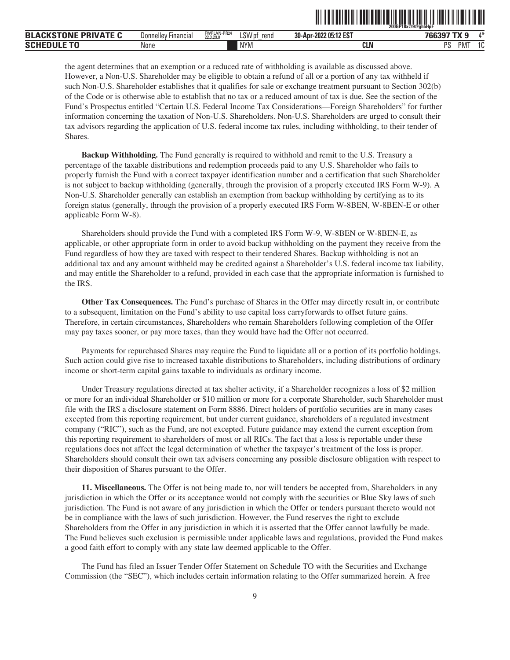|                             |                            |                          |                | I TENENTUTI ETILETTIIN ON YHDISTÄ SEN | 200GP18x@9@gh5HpF   |
|-----------------------------|----------------------------|--------------------------|----------------|---------------------------------------|---------------------|
| <b>BLACKSTONE PRIVATE C</b> | <b>Donnelley Financial</b> | FWPLAN-PR24<br>22.3.29.0 | LSW pf<br>rend | 30-Apr-2022 05:12 EST                 | $A*$<br>766397 TX 9 |
| <b>SCHEDULE TO</b>          | None                       |                          | <b>NYM</b>     | <b>CLN</b>                            | PMT<br>10<br>PS     |

the agent determines that an exemption or a reduced rate of withholding is available as discussed above. However, a Non-U.S. Shareholder may be eligible to obtain a refund of all or a portion of any tax withheld if such Non-U.S. Shareholder establishes that it qualifies for sale or exchange treatment pursuant to Section 302(b) of the Code or is otherwise able to establish that no tax or a reduced amount of tax is due. See the section of the Fund's Prospectus entitled "Certain U.S. Federal Income Tax Considerations—Foreign Shareholders" for further information concerning the taxation of Non-U.S. Shareholders. Non-U.S. Shareholders are urged to consult their tax advisors regarding the application of U.S. federal income tax rules, including withholding, to their tender of Shares.

**Backup Withholding.** The Fund generally is required to withhold and remit to the U.S. Treasury a percentage of the taxable distributions and redemption proceeds paid to any U.S. Shareholder who fails to properly furnish the Fund with a correct taxpayer identification number and a certification that such Shareholder is not subject to backup withholding (generally, through the provision of a properly executed IRS Form W-9). A Non-U.S. Shareholder generally can establish an exemption from backup withholding by certifying as to its foreign status (generally, through the provision of a properly executed IRS Form W-8BEN, W-8BEN-E or other applicable Form W-8).

Shareholders should provide the Fund with a completed IRS Form W-9, W-8BEN or W-8BEN-E, as applicable, or other appropriate form in order to avoid backup withholding on the payment they receive from the Fund regardless of how they are taxed with respect to their tendered Shares. Backup withholding is not an additional tax and any amount withheld may be credited against a Shareholder's U.S. federal income tax liability, and may entitle the Shareholder to a refund, provided in each case that the appropriate information is furnished to the IRS.

**Other Tax Consequences.** The Fund's purchase of Shares in the Offer may directly result in, or contribute to a subsequent, limitation on the Fund's ability to use capital loss carryforwards to offset future gains. Therefore, in certain circumstances, Shareholders who remain Shareholders following completion of the Offer may pay taxes sooner, or pay more taxes, than they would have had the Offer not occurred.

Payments for repurchased Shares may require the Fund to liquidate all or a portion of its portfolio holdings. Such action could give rise to increased taxable distributions to Shareholders, including distributions of ordinary income or short-term capital gains taxable to individuals as ordinary income.

Under Treasury regulations directed at tax shelter activity, if a Shareholder recognizes a loss of \$2 million or more for an individual Shareholder or \$10 million or more for a corporate Shareholder, such Shareholder must file with the IRS a disclosure statement on Form 8886. Direct holders of portfolio securities are in many cases excepted from this reporting requirement, but under current guidance, shareholders of a regulated investment company ("RIC"), such as the Fund, are not excepted. Future guidance may extend the current exception from this reporting requirement to shareholders of most or all RICs. The fact that a loss is reportable under these regulations does not affect the legal determination of whether the taxpayer's treatment of the loss is proper. Shareholders should consult their own tax advisers concerning any possible disclosure obligation with respect to their disposition of Shares pursuant to the Offer.

<span id="page-11-0"></span>**11. Miscellaneous.** The Offer is not being made to, nor will tenders be accepted from, Shareholders in any jurisdiction in which the Offer or its acceptance would not comply with the securities or Blue Sky laws of such jurisdiction. The Fund is not aware of any jurisdiction in which the Offer or tenders pursuant thereto would not be in compliance with the laws of such jurisdiction. However, the Fund reserves the right to exclude Shareholders from the Offer in any jurisdiction in which it is asserted that the Offer cannot lawfully be made. The Fund believes such exclusion is permissible under applicable laws and regulations, provided the Fund makes a good faith effort to comply with any state law deemed applicable to the Offer.

The Fund has filed an Issuer Tender Offer Statement on Schedule TO with the Securities and Exchange Commission (the "SEC"), which includes certain information relating to the Offer summarized herein. A free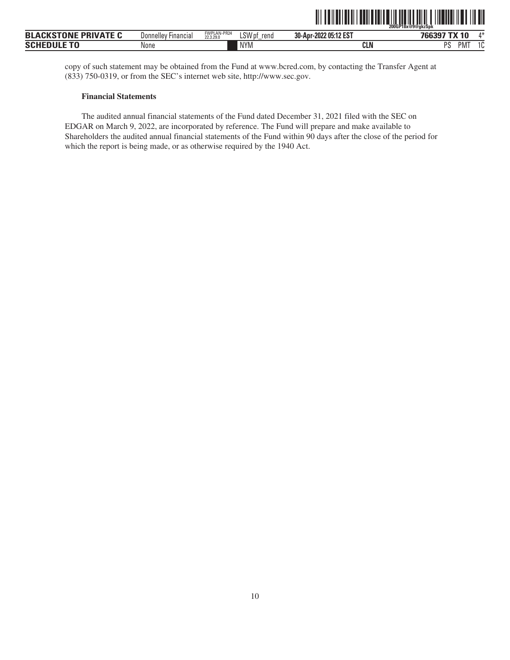

<span id="page-12-0"></span>

| $\mathbf{A} \mathbf{B} \mathbf{A} \mathbf{B} \mathbf{A} \mathbf{B} \mathbf{B} \mathbf{B}$<br><b>PRIVATE</b><br><b>BLA</b><br>11 O<br>ווע | <b>Donnellev</b><br>Financia, | FWPLAN-PR24<br>22.3.29.0 | LSW <sub>p</sub><br>rena | 30-Apr-2022 05:12 EST | A M<br>$\mathbf{u}$                  |
|------------------------------------------------------------------------------------------------------------------------------------------|-------------------------------|--------------------------|--------------------------|-----------------------|--------------------------------------|
| --------<br><b>SCI</b>                                                                                                                   | None                          |                          | <b>NYM</b>               | <b>CLN</b>            | DС<br><b>PM</b><br>$\sim$<br>ιu<br>u |

copy of such statement may be obtained from the Fund at www.bcred.com, by contacting the Transfer Agent at (833) 750-0319, or from the SEC's internet web site, http://www.sec.gov.

### **Financial Statements**

The audited annual financial statements of the Fund dated December 31, 2021 filed with the SEC on EDGAR on March 9, 2022, are incorporated by reference. The Fund will prepare and make available to Shareholders the audited annual financial statements of the Fund within 90 days after the close of the period for which the report is being made, or as otherwise required by the 1940 Act.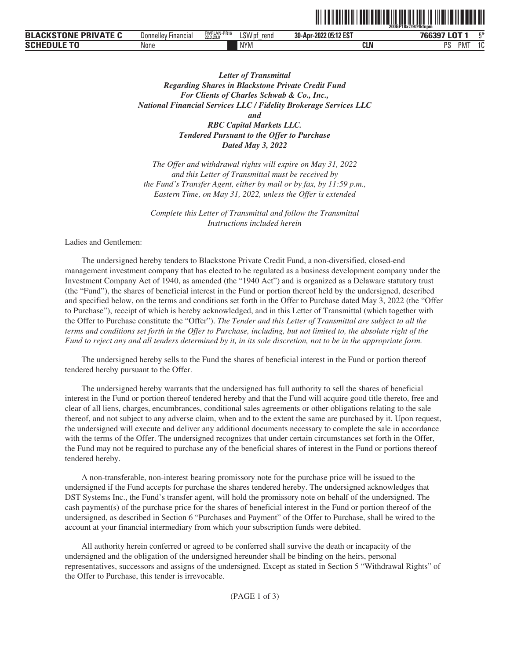|                                          |                               |                          |                           |                       | 200GP18x@9@fktupm           |     |
|------------------------------------------|-------------------------------|--------------------------|---------------------------|-----------------------|-----------------------------|-----|
| VATE.<br><b>PRI</b><br>ומח<br><b>BLA</b> | <b>Financial</b><br>Donnellev | FWPLAN-PR16<br>22.3.29.0 | LSW <sub>pf</sub><br>rend | 30-Apr-2022 05:12 EST | $\sim$<br>דהרמד<br>v<br>    |     |
| <b>SCHI</b>                              | None                          |                          | <b>NYM</b>                | <b>CLN</b>            | PM <sub>1</sub><br>nе<br>ັບ | ם ו |

<u>oli ordinalisti ordinalisti ordinalisti ordinalisti ordinalisti or</u>

*Letter of Transmittal Regarding Shares in Blackstone Private Credit Fund For Clients of Charles Schwab & Co., Inc., National Financial Services LLC / Fidelity Brokerage Services LLC and RBC Capital Markets LLC. Tendered Pursuant to the Offer to Purchase Dated May 3, 2022*

*The Offer and withdrawal rights will expire on May 31, 2022 and this Letter of Transmittal must be received by the Fund's Transfer Agent, either by mail or by fax, by 11:59 p.m., Eastern Time, on May 31, 2022, unless the Offer is extended*

*Complete this Letter of Transmittal and follow the Transmittal Instructions included herein*

Ladies and Gentlemen:

The undersigned hereby tenders to Blackstone Private Credit Fund, a non-diversified, closed-end management investment company that has elected to be regulated as a business development company under the Investment Company Act of 1940, as amended (the "1940 Act") and is organized as a Delaware statutory trust (the "Fund"), the shares of beneficial interest in the Fund or portion thereof held by the undersigned, described and specified below, on the terms and conditions set forth in the Offer to Purchase dated May 3, 2022 (the "Offer to Purchase"), receipt of which is hereby acknowledged, and in this Letter of Transmittal (which together with the Offer to Purchase constitute the "Offer"). *The Tender and this Letter of Transmittal are subject to all the terms and conditions set forth in the Offer to Purchase, including, but not limited to, the absolute right of the Fund to reject any and all tenders determined by it, in its sole discretion, not to be in the appropriate form.*

The undersigned hereby sells to the Fund the shares of beneficial interest in the Fund or portion thereof tendered hereby pursuant to the Offer.

The undersigned hereby warrants that the undersigned has full authority to sell the shares of beneficial interest in the Fund or portion thereof tendered hereby and that the Fund will acquire good title thereto, free and clear of all liens, charges, encumbrances, conditional sales agreements or other obligations relating to the sale thereof, and not subject to any adverse claim, when and to the extent the same are purchased by it. Upon request, the undersigned will execute and deliver any additional documents necessary to complete the sale in accordance with the terms of the Offer. The undersigned recognizes that under certain circumstances set forth in the Offer, the Fund may not be required to purchase any of the beneficial shares of interest in the Fund or portions thereof tendered hereby.

A non-transferable, non-interest bearing promissory note for the purchase price will be issued to the undersigned if the Fund accepts for purchase the shares tendered hereby. The undersigned acknowledges that DST Systems Inc., the Fund's transfer agent, will hold the promissory note on behalf of the undersigned. The cash payment(s) of the purchase price for the shares of beneficial interest in the Fund or portion thereof of the undersigned, as described in Section 6 "Purchases and Payment" of the Offer to Purchase, shall be wired to the account at your financial intermediary from which your subscription funds were debited.

All authority herein conferred or agreed to be conferred shall survive the death or incapacity of the undersigned and the obligation of the undersigned hereunder shall be binding on the heirs, personal representatives, successors and assigns of the undersigned. Except as stated in Section 5 "Withdrawal Rights" of the Offer to Purchase, this tender is irrevocable.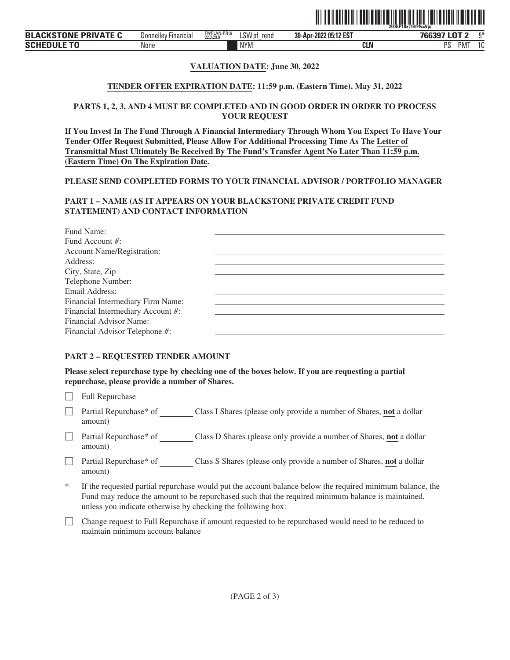

## **VALUATION DATE: June 30, 2022**

### **TENDER OFFER EXPIRATION DATE: 11:59 p.m. (Eastern Time), May 31, 2022**

### **PARTS 1, 2, 3, AND 4 MUST BE COMPLETED AND IN GOOD ORDER IN ORDER TO PROCESS YOUR REQUEST**

**If You Invest In The Fund Through A Financial Intermediary Through Whom You Expect To Have Your Tender Offer Request Submitted, Please Allow For Additional Processing Time As The Letter of Transmittal Must Ultimately Be Received By The Fund's Transfer Agent No Later Than 11:59 p.m. (Eastern Time) On The Expiration Date.**

### **PLEASE SEND COMPLETED FORMS TO YOUR FINANCIAL ADVISOR / PORTFOLIO MANAGER**

# **PART 1 – NAME (AS IT APPEARS ON YOUR BLACKSTONE PRIVATE CREDIT FUND STATEMENT) AND CONTACT INFORMATION**

| Fund Name:                        |  |
|-----------------------------------|--|
| Fund Account #:                   |  |
| Account Name/Registration:        |  |
| Address:                          |  |
| City, State, Zip                  |  |
| Telephone Number:                 |  |
| Email Address:                    |  |
| Financial Intermediary Firm Name: |  |
| Financial Intermediary Account #: |  |
| Financial Advisor Name:           |  |
| Financial Advisor Telephone #:    |  |
|                                   |  |

### **PART 2 – REQUESTED TENDER AMOUNT**

**Please select repurchase type by checking one of the boxes below. If you are requesting a partial repurchase, please provide a number of Shares.**

 $\Box$  Full Repurchase

- ' Partial Repurchase\* of Class I Shares (please only provide a number of Shares, **not** a dollar amount)
- □ Partial Repurchase\* of Class D Shares (please only provide a number of Shares, **not** a dollar amount)
- ' Partial Repurchase\* of Class S Shares (please only provide a number of Shares, **not** a dollar amount)
- If the requested partial repurchase would put the account balance below the required minimum balance, the Fund may reduce the amount to be repurchased such that the required minimum balance is maintained, unless you indicate otherwise by checking the following box:
- ' Change request to Full Repurchase if amount requested to be repurchased would need to be reduced to maintain minimum account balance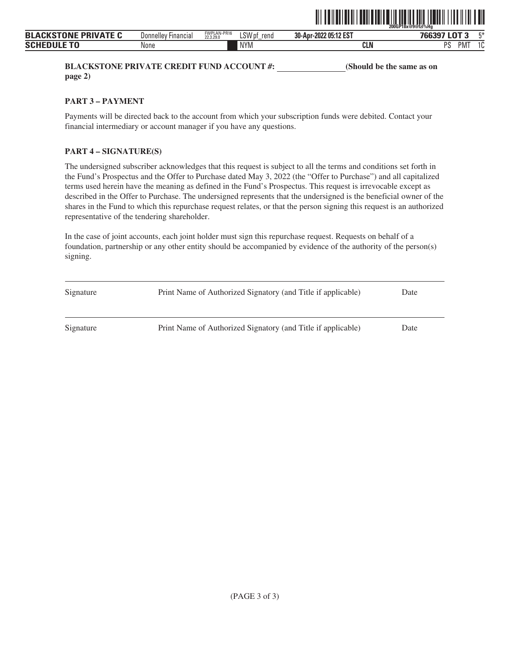

**BLACKSTONE PRIVATE CREDIT FUND ACCOUNT #:** (Should be the same as on **page 2)**

**PART 3 – PAYMENT**

Payments will be directed back to the account from which your subscription funds were debited. Contact your financial intermediary or account manager if you have any questions.

# **PART 4 – SIGNATURE(S)**

The undersigned subscriber acknowledges that this request is subject to all the terms and conditions set forth in the Fund's Prospectus and the Offer to Purchase dated May 3, 2022 (the "Offer to Purchase") and all capitalized terms used herein have the meaning as defined in the Fund's Prospectus. This request is irrevocable except as described in the Offer to Purchase. The undersigned represents that the undersigned is the beneficial owner of the shares in the Fund to which this repurchase request relates, or that the person signing this request is an authorized representative of the tendering shareholder.

| Signature | Print Name of Authorized Signatory (and Title if applicable) | Date |
|-----------|--------------------------------------------------------------|------|
| Signature | Print Name of Authorized Signatory (and Title if applicable) | Date |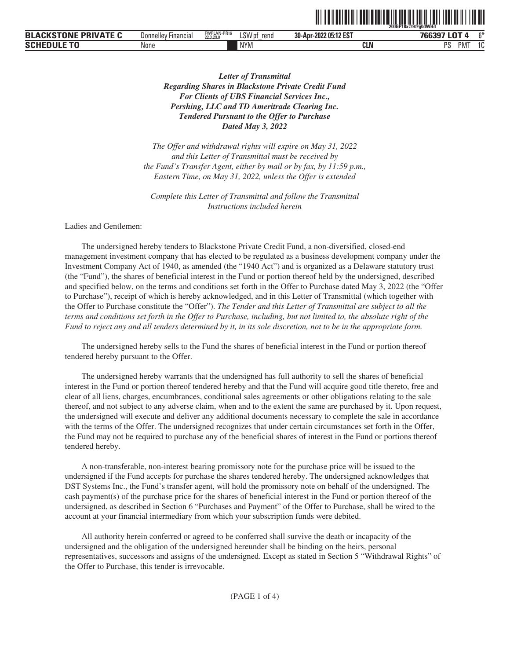|                                       |                     |                          |                          | ---------------------------------- | ------<br>~200GP18x@9@a0dWHd          |        |
|---------------------------------------|---------------------|--------------------------|--------------------------|------------------------------------|---------------------------------------|--------|
| <b>PRIVATE C</b><br><b>BLACKSTONE</b> | Donnelley Financial | FWPLAN-PR16<br>22.3.29.0 | C(M)<br>rend<br>LS VV pt | 30-Apr-2022 05:12 EST              | $\sim$<br>700007                      | $\sim$ |
| <b>SCHI</b>                           | None                |                          | <b>NYM</b>               | CLN                                | <sub>D</sub> e<br>COM AT<br>ЧM,<br>്പ | $\sim$ |

ˆ200GP18x@9@g0dWHdŠ

*Letter of Transmittal Regarding Shares in Blackstone Private Credit Fund For Clients of UBS Financial Services Inc., Pershing, LLC and TD Ameritrade Clearing Inc. Tendered Pursuant to the Offer to Purchase Dated May 3, 2022*

*The Offer and withdrawal rights will expire on May 31, 2022 and this Letter of Transmittal must be received by the Fund's Transfer Agent, either by mail or by fax, by 11:59 p.m., Eastern Time, on May 31, 2022, unless the Offer is extended*

*Complete this Letter of Transmittal and follow the Transmittal Instructions included herein*

Ladies and Gentlemen:

The undersigned hereby tenders to Blackstone Private Credit Fund, a non-diversified, closed-end management investment company that has elected to be regulated as a business development company under the Investment Company Act of 1940, as amended (the "1940 Act") and is organized as a Delaware statutory trust (the "Fund"), the shares of beneficial interest in the Fund or portion thereof held by the undersigned, described and specified below, on the terms and conditions set forth in the Offer to Purchase dated May 3, 2022 (the "Offer to Purchase"), receipt of which is hereby acknowledged, and in this Letter of Transmittal (which together with the Offer to Purchase constitute the "Offer"). *The Tender and this Letter of Transmittal are subject to all the terms and conditions set forth in the Offer to Purchase, including, but not limited to, the absolute right of the Fund to reject any and all tenders determined by it, in its sole discretion, not to be in the appropriate form.*

The undersigned hereby sells to the Fund the shares of beneficial interest in the Fund or portion thereof tendered hereby pursuant to the Offer.

The undersigned hereby warrants that the undersigned has full authority to sell the shares of beneficial interest in the Fund or portion thereof tendered hereby and that the Fund will acquire good title thereto, free and clear of all liens, charges, encumbrances, conditional sales agreements or other obligations relating to the sale thereof, and not subject to any adverse claim, when and to the extent the same are purchased by it. Upon request, the undersigned will execute and deliver any additional documents necessary to complete the sale in accordance with the terms of the Offer. The undersigned recognizes that under certain circumstances set forth in the Offer, the Fund may not be required to purchase any of the beneficial shares of interest in the Fund or portions thereof tendered hereby.

A non-transferable, non-interest bearing promissory note for the purchase price will be issued to the undersigned if the Fund accepts for purchase the shares tendered hereby. The undersigned acknowledges that DST Systems Inc., the Fund's transfer agent, will hold the promissory note on behalf of the undersigned. The cash payment(s) of the purchase price for the shares of beneficial interest in the Fund or portion thereof of the undersigned, as described in Section 6 "Purchases and Payment" of the Offer to Purchase, shall be wired to the account at your financial intermediary from which your subscription funds were debited.

All authority herein conferred or agreed to be conferred shall survive the death or incapacity of the undersigned and the obligation of the undersigned hereunder shall be binding on the heirs, personal representatives, successors and assigns of the undersigned. Except as stated in Section 5 "Withdrawal Rights" of the Offer to Purchase, this tender is irrevocable.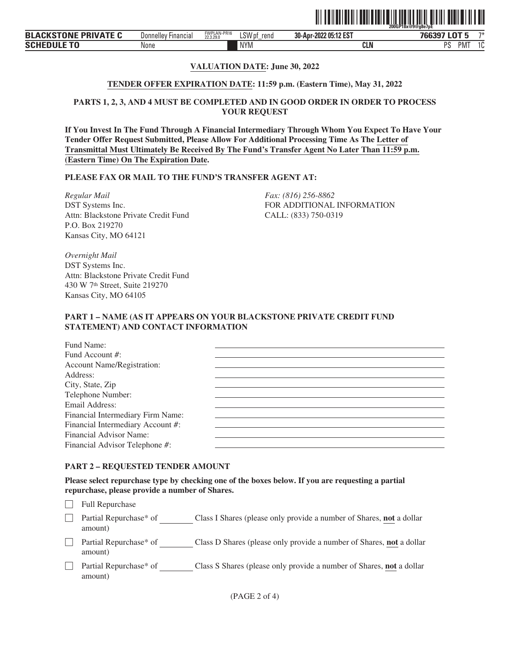

# **VALUATION DATE: June 30, 2022**

## **TENDER OFFER EXPIRATION DATE: 11:59 p.m. (Eastern Time), May 31, 2022**

# **PARTS 1, 2, 3, AND 4 MUST BE COMPLETED AND IN GOOD ORDER IN ORDER TO PROCESS YOUR REQUEST**

**If You Invest In The Fund Through A Financial Intermediary Through Whom You Expect To Have Your Tender Offer Request Submitted, Please Allow For Additional Processing Time As The Letter of Transmittal Must Ultimately Be Received By The Fund's Transfer Agent No Later Than 11:59 p.m. (Eastern Time) On The Expiration Date.**

## **PLEASE FAX OR MAIL TO THE FUND'S TRANSFER AGENT AT:**

*Regular Mail Fax: (816) 256-8862* DST Systems Inc. Attn: Blackstone Private Credit Fund P.O. Box 219270 Kansas City, MO 64121

FOR ADDITIONAL INFORMATION CALL: (833) 750-0319

*Overnight Mail* DST Systems Inc. Attn: Blackstone Private Credit Fund 430 W 7th Street, Suite 219270 Kansas City, MO 64105

# **PART 1 – NAME (AS IT APPEARS ON YOUR BLACKSTONE PRIVATE CREDIT FUND STATEMENT) AND CONTACT INFORMATION**

| Fund Name:                        |  |
|-----------------------------------|--|
| Fund Account #:                   |  |
| <b>Account Name/Registration:</b> |  |
| Address:                          |  |
| City, State, Zip                  |  |
| Telephone Number:                 |  |
| Email Address:                    |  |
| Financial Intermediary Firm Name: |  |
| Financial Intermediary Account #: |  |
| Financial Advisor Name:           |  |
| Financial Advisor Telephone #:    |  |
|                                   |  |

## **PART 2 – REQUESTED TENDER AMOUNT**

**Please select repurchase type by checking one of the boxes below. If you are requesting a partial repurchase, please provide a number of Shares.**

 $\Box$  Full Repurchase

□ Partial Repurchase\* of Class I Shares (please only provide a number of Shares, **not** a dollar amount)

- ' Partial Repurchase\* of Class D Shares (please only provide a number of Shares, **not** a dollar amount)
- **Partial Repurchase\*** of Class S Shares (please only provide a number of Shares, **not** a dollar amount)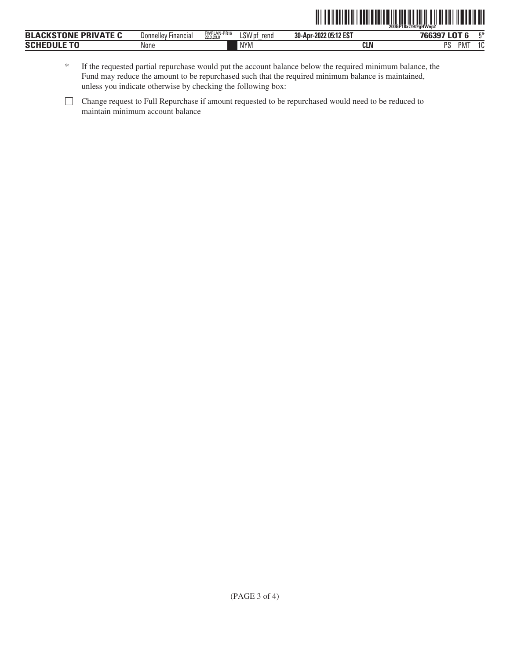|                             |                            |                          |                |                       | ZOOGP18x@9@aHWep2     |  |
|-----------------------------|----------------------------|--------------------------|----------------|-----------------------|-----------------------|--|
| <b>BLACKSTONE PRIVATE C</b> | <b>Donnelley Financial</b> | FWPLAN-PR16<br>22.3.29.0 | LSW pf<br>rend | 30-Apr-2022 05:12 EST | 766397 LOT 6          |  |
| <b>SCHEDULE TO</b>          | None                       |                          | <b>NYM</b>     | <b>CLN</b>            | PM <sub>1</sub><br>PS |  |

\* If the requested partial repurchase would put the account balance below the required minimum balance, the Fund may reduce the amount to be repurchased such that the required minimum balance is maintained, unless you indicate otherwise by checking the following box:

<sup>&#</sup>x27; Change request to Full Repurchase if amount requested to be repurchased would need to be reduced to maintain minimum account balance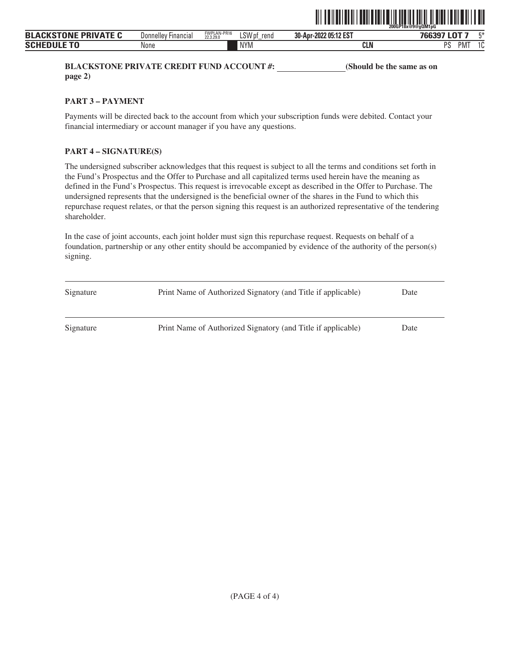

**BLACKSTONE PRIVATE CREDIT FUND ACCOUNT #:** (Should be the same as on **page 2)**

**PART 3 – PAYMENT**

Payments will be directed back to the account from which your subscription funds were debited. Contact your financial intermediary or account manager if you have any questions.

# **PART 4 – SIGNATURE(S)**

The undersigned subscriber acknowledges that this request is subject to all the terms and conditions set forth in the Fund's Prospectus and the Offer to Purchase and all capitalized terms used herein have the meaning as defined in the Fund's Prospectus. This request is irrevocable except as described in the Offer to Purchase. The undersigned represents that the undersigned is the beneficial owner of the shares in the Fund to which this repurchase request relates, or that the person signing this request is an authorized representative of the tendering shareholder.

| Signature | Print Name of Authorized Signatory (and Title if applicable) | Date |
|-----------|--------------------------------------------------------------|------|
| Signature | Print Name of Authorized Signatory (and Title if applicable) | Date |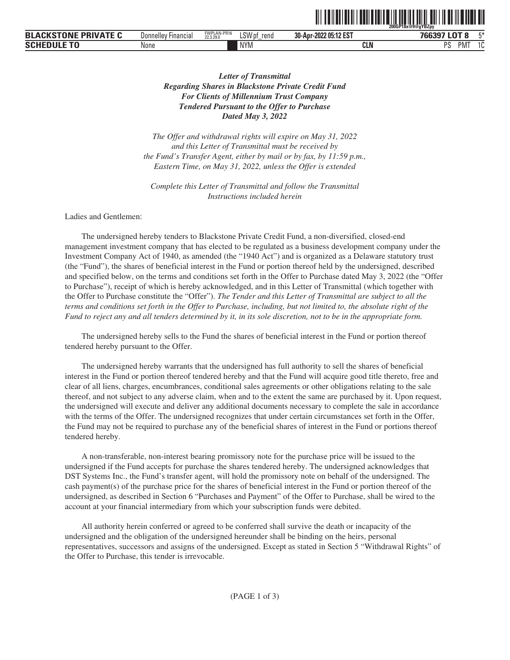|                                           |                     |                          |                            | -------------------------------- | 200GP18x@9@aYBZpv                        |        |
|-------------------------------------------|---------------------|--------------------------|----------------------------|----------------------------------|------------------------------------------|--------|
| <b>PRIVATE</b><br><b>BLA</b><br>IN<br>- - | Donnelley Financial | FWPLAN-PR16<br>22.3.29.0 | CIM<br>rend<br>LSW pf<br>- | 30-Apr-2022 05:12 EST            | $-$<br>$\sim$ $\sim$ $\sim$ $\sim$<br>-w | F.X.   |
| <b>SCH</b>                                | None                |                          | <b>NYM</b>                 | CLN                              | .<br><sub>D</sub> e<br>ЧM.<br>്പ         | $\sim$ |

<u>oli od indijenih koninentalnom indijenih koninentalnom ko</u>

# *Letter of Transmittal Regarding Shares in Blackstone Private Credit Fund For Clients of Millennium Trust Company Tendered Pursuant to the Offer to Purchase Dated May 3, 2022*

*The Offer and withdrawal rights will expire on May 31, 2022 and this Letter of Transmittal must be received by the Fund's Transfer Agent, either by mail or by fax, by 11:59 p.m., Eastern Time, on May 31, 2022, unless the Offer is extended*

*Complete this Letter of Transmittal and follow the Transmittal Instructions included herein*

Ladies and Gentlemen:

The undersigned hereby tenders to Blackstone Private Credit Fund, a non-diversified, closed-end management investment company that has elected to be regulated as a business development company under the Investment Company Act of 1940, as amended (the "1940 Act") and is organized as a Delaware statutory trust (the "Fund"), the shares of beneficial interest in the Fund or portion thereof held by the undersigned, described and specified below, on the terms and conditions set forth in the Offer to Purchase dated May 3, 2022 (the "Offer to Purchase"), receipt of which is hereby acknowledged, and in this Letter of Transmittal (which together with the Offer to Purchase constitute the "Offer"). *The Tender and this Letter of Transmittal are subject to all the terms and conditions set forth in the Offer to Purchase, including, but not limited to, the absolute right of the Fund to reject any and all tenders determined by it, in its sole discretion, not to be in the appropriate form.*

The undersigned hereby sells to the Fund the shares of beneficial interest in the Fund or portion thereof tendered hereby pursuant to the Offer.

The undersigned hereby warrants that the undersigned has full authority to sell the shares of beneficial interest in the Fund or portion thereof tendered hereby and that the Fund will acquire good title thereto, free and clear of all liens, charges, encumbrances, conditional sales agreements or other obligations relating to the sale thereof, and not subject to any adverse claim, when and to the extent the same are purchased by it. Upon request, the undersigned will execute and deliver any additional documents necessary to complete the sale in accordance with the terms of the Offer. The undersigned recognizes that under certain circumstances set forth in the Offer, the Fund may not be required to purchase any of the beneficial shares of interest in the Fund or portions thereof tendered hereby.

A non-transferable, non-interest bearing promissory note for the purchase price will be issued to the undersigned if the Fund accepts for purchase the shares tendered hereby. The undersigned acknowledges that DST Systems Inc., the Fund's transfer agent, will hold the promissory note on behalf of the undersigned. The cash payment(s) of the purchase price for the shares of beneficial interest in the Fund or portion thereof of the undersigned, as described in Section 6 "Purchases and Payment" of the Offer to Purchase, shall be wired to the account at your financial intermediary from which your subscription funds were debited.

All authority herein conferred or agreed to be conferred shall survive the death or incapacity of the undersigned and the obligation of the undersigned hereunder shall be binding on the heirs, personal representatives, successors and assigns of the undersigned. Except as stated in Section 5 "Withdrawal Rights" of the Offer to Purchase, this tender is irrevocable.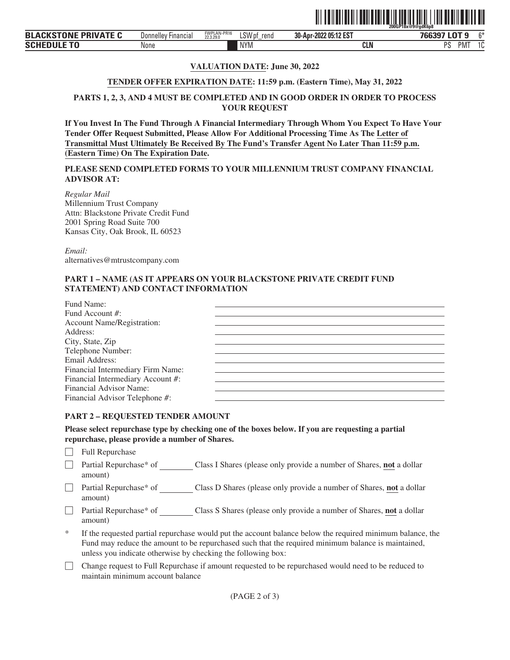

| <b>BLACKSTONE PRIVATE</b> | <b>Hinancial</b><br>Donnelley | FWPLAN-PR16<br>22.3.29.0 | $1$ CIA<br>rend<br>LSW pf | 2022 05:12 EST<br>30-Apr- | $\sim$<br>700007<br>-44 | $\sim$    |
|---------------------------|-------------------------------|--------------------------|---------------------------|---------------------------|-------------------------|-----------|
| <b>SCHEDULE TO</b>        | None                          |                          | <b>NYM</b>                | <b>CLN</b>                | DС<br>РM.<br>           | د .<br>л. |

# **VALUATION DATE: June 30, 2022**

### **TENDER OFFER EXPIRATION DATE: 11:59 p.m. (Eastern Time), May 31, 2022**

# **PARTS 1, 2, 3, AND 4 MUST BE COMPLETED AND IN GOOD ORDER IN ORDER TO PROCESS YOUR REQUEST**

**If You Invest In The Fund Through A Financial Intermediary Through Whom You Expect To Have Your Tender Offer Request Submitted, Please Allow For Additional Processing Time As The Letter of Transmittal Must Ultimately Be Received By The Fund's Transfer Agent No Later Than 11:59 p.m. (Eastern Time) On The Expiration Date.**

**PLEASE SEND COMPLETED FORMS TO YOUR MILLENNIUM TRUST COMPANY FINANCIAL ADVISOR AT:**

*Regular Mail* Millennium Trust Company Attn: Blackstone Private Credit Fund 2001 Spring Road Suite 700 Kansas City, Oak Brook, IL 60523

*Email:* alternatives@mtrustcompany.com

# **PART 1 – NAME (AS IT APPEARS ON YOUR BLACKSTONE PRIVATE CREDIT FUND STATEMENT) AND CONTACT INFORMATION**

| Fund Name:                        |  |
|-----------------------------------|--|
| Fund Account #:                   |  |
| <b>Account Name/Registration:</b> |  |
| Address:                          |  |
| City, State, Zip                  |  |
| Telephone Number:                 |  |
| Email Address:                    |  |
| Financial Intermediary Firm Name: |  |
| Financial Intermediary Account #: |  |
| Financial Advisor Name:           |  |
| Financial Advisor Telephone #:    |  |

#### **PART 2 – REQUESTED TENDER AMOUNT**

**Please select repurchase type by checking one of the boxes below. If you are requesting a partial repurchase, please provide a number of Shares.**

- $\Box$  Full Repurchase
- □ Partial Repurchase\* of Class I Shares (please only provide a number of Shares, **not** a dollar amount)
- ' Partial Repurchase\* of Class D Shares (please only provide a number of Shares, **not** a dollar amount)
- ' Partial Repurchase\* of Class S Shares (please only provide a number of Shares, **not** a dollar amount)
- If the requested partial repurchase would put the account balance below the required minimum balance, the Fund may reduce the amount to be repurchased such that the required minimum balance is maintained, unless you indicate otherwise by checking the following box:
- ' Change request to Full Repurchase if amount requested to be repurchased would need to be reduced to maintain minimum account balance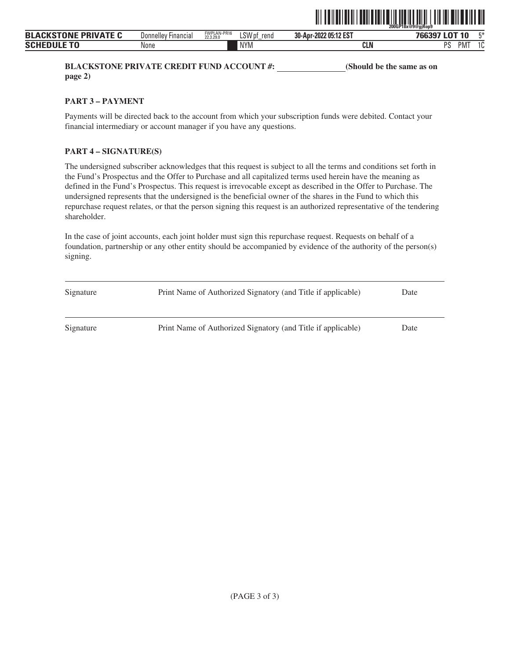

**BLACKSTONE PRIVATE CREDIT FUND ACCOUNT #:** (Should be the same as on **page 2)**

**PART 3 – PAYMENT**

Payments will be directed back to the account from which your subscription funds were debited. Contact your financial intermediary or account manager if you have any questions.

# **PART 4 – SIGNATURE(S)**

The undersigned subscriber acknowledges that this request is subject to all the terms and conditions set forth in the Fund's Prospectus and the Offer to Purchase and all capitalized terms used herein have the meaning as defined in the Fund's Prospectus. This request is irrevocable except as described in the Offer to Purchase. The undersigned represents that the undersigned is the beneficial owner of the shares in the Fund to which this repurchase request relates, or that the person signing this request is an authorized representative of the tendering shareholder.

| Signature | Print Name of Authorized Signatory (and Title if applicable) | Date |
|-----------|--------------------------------------------------------------|------|
| Signature | Print Name of Authorized Signatory (and Title if applicable) | Date |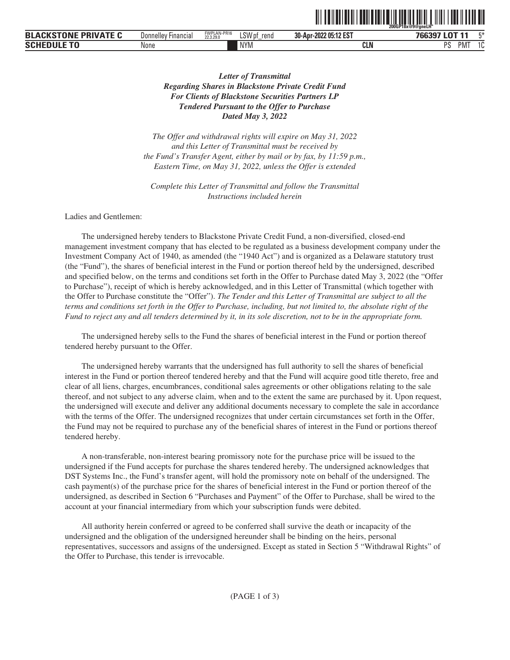|                                                    |                          |                          |                       |                       | 200GP18x@9@aneLH"                            |                |
|----------------------------------------------------|--------------------------|--------------------------|-----------------------|-----------------------|----------------------------------------------|----------------|
| <b>CKS</b><br>'NNF<br><b>PRIVATE</b><br><b>BLA</b> | ' Financial<br>Donnelley | FWPLAN-PR16<br>22.3.29.0 | LSW<br>rend<br>. V D† | 30-Apr-2022 05:12 EST | 766397 LOT 11                                | F <sub>*</sub> |
| <b>SCHEI</b>                                       | None                     |                          | <b>NYM</b>            | <b>CLN</b>            | <sub>D</sub> e<br>DA 45<br><u>т</u> м.<br>٠U | $\sim$         |

<u>oli od indiji boli od indiji boli od indiji boli od indiji boli od indiji boli od indiji boli od indiji boli o</u>

*Letter of Transmittal Regarding Shares in Blackstone Private Credit Fund For Clients of Blackstone Securities Partners LP Tendered Pursuant to the Offer to Purchase Dated May 3, 2022*

*The Offer and withdrawal rights will expire on May 31, 2022 and this Letter of Transmittal must be received by the Fund's Transfer Agent, either by mail or by fax, by 11:59 p.m., Eastern Time, on May 31, 2022, unless the Offer is extended*

*Complete this Letter of Transmittal and follow the Transmittal Instructions included herein*

Ladies and Gentlemen:

The undersigned hereby tenders to Blackstone Private Credit Fund, a non-diversified, closed-end management investment company that has elected to be regulated as a business development company under the Investment Company Act of 1940, as amended (the "1940 Act") and is organized as a Delaware statutory trust (the "Fund"), the shares of beneficial interest in the Fund or portion thereof held by the undersigned, described and specified below, on the terms and conditions set forth in the Offer to Purchase dated May 3, 2022 (the "Offer to Purchase"), receipt of which is hereby acknowledged, and in this Letter of Transmittal (which together with the Offer to Purchase constitute the "Offer"). *The Tender and this Letter of Transmittal are subject to all the terms and conditions set forth in the Offer to Purchase, including, but not limited to, the absolute right of the Fund to reject any and all tenders determined by it, in its sole discretion, not to be in the appropriate form.*

The undersigned hereby sells to the Fund the shares of beneficial interest in the Fund or portion thereof tendered hereby pursuant to the Offer.

The undersigned hereby warrants that the undersigned has full authority to sell the shares of beneficial interest in the Fund or portion thereof tendered hereby and that the Fund will acquire good title thereto, free and clear of all liens, charges, encumbrances, conditional sales agreements or other obligations relating to the sale thereof, and not subject to any adverse claim, when and to the extent the same are purchased by it. Upon request, the undersigned will execute and deliver any additional documents necessary to complete the sale in accordance with the terms of the Offer. The undersigned recognizes that under certain circumstances set forth in the Offer, the Fund may not be required to purchase any of the beneficial shares of interest in the Fund or portions thereof tendered hereby.

A non-transferable, non-interest bearing promissory note for the purchase price will be issued to the undersigned if the Fund accepts for purchase the shares tendered hereby. The undersigned acknowledges that DST Systems Inc., the Fund's transfer agent, will hold the promissory note on behalf of the undersigned. The cash payment(s) of the purchase price for the shares of beneficial interest in the Fund or portion thereof of the undersigned, as described in Section 6 "Purchases and Payment" of the Offer to Purchase, shall be wired to the account at your financial intermediary from which your subscription funds were debited.

All authority herein conferred or agreed to be conferred shall survive the death or incapacity of the undersigned and the obligation of the undersigned hereunder shall be binding on the heirs, personal representatives, successors and assigns of the undersigned. Except as stated in Section 5 "Withdrawal Rights" of the Offer to Purchase, this tender is irrevocable.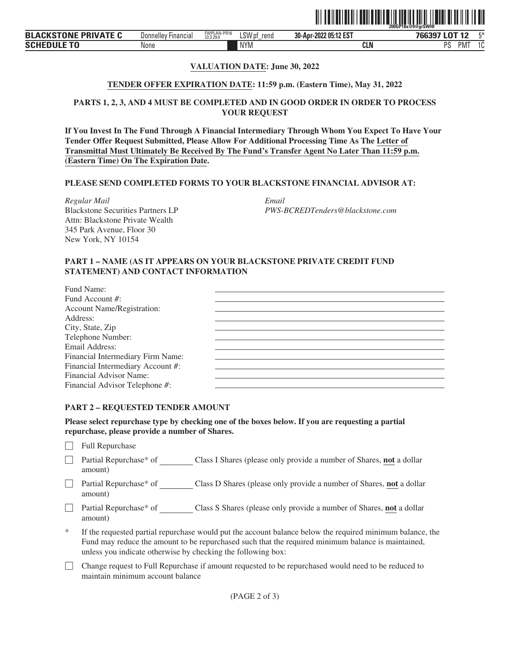

# **VALUATION DATE: June 30, 2022**

### **TENDER OFFER EXPIRATION DATE: 11:59 p.m. (Eastern Time), May 31, 2022**

# **PARTS 1, 2, 3, AND 4 MUST BE COMPLETED AND IN GOOD ORDER IN ORDER TO PROCESS YOUR REQUEST**

**If You Invest In The Fund Through A Financial Intermediary Through Whom You Expect To Have Your Tender Offer Request Submitted, Please Allow For Additional Processing Time As The Letter of Transmittal Must Ultimately Be Received By The Fund's Transfer Agent No Later Than 11:59 p.m. (Eastern Time) On The Expiration Date.**

### **PLEASE SEND COMPLETED FORMS TO YOUR BLACKSTONE FINANCIAL ADVISOR AT:**

*Regular Mail Email* Blackstone Securities Partners LP Attn: Blackstone Private Wealth 345 Park Avenue, Floor 30 New York, NY 10154

*PWS-BCREDTenders@blackstone.com*

### **PART 1 – NAME (AS IT APPEARS ON YOUR BLACKSTONE PRIVATE CREDIT FUND STATEMENT) AND CONTACT INFORMATION**

| Fund Name:                        |  |
|-----------------------------------|--|
| Fund Account #:                   |  |
| <b>Account Name/Registration:</b> |  |
| Address:                          |  |
| City, State, Zip                  |  |
| Telephone Number:                 |  |
| Email Address:                    |  |
| Financial Intermediary Firm Name: |  |
| Financial Intermediary Account #: |  |
| Financial Advisor Name:           |  |
| Financial Advisor Telephone #:    |  |

#### **PART 2 – REQUESTED TENDER AMOUNT**

**Please select repurchase type by checking one of the boxes below. If you are requesting a partial repurchase, please provide a number of Shares.**

 $\Box$  Full Repurchase

- ' Partial Repurchase\* of Class I Shares (please only provide a number of Shares, **not** a dollar amount)
- □ Partial Repurchase\* of Class D Shares (please only provide a number of Shares, **not** a dollar amount)
- ' Partial Repurchase\* of Class S Shares (please only provide a number of Shares, **not** a dollar amount)
- If the requested partial repurchase would put the account balance below the required minimum balance, the Fund may reduce the amount to be repurchased such that the required minimum balance is maintained, unless you indicate otherwise by checking the following box:
- ' Change request to Full Repurchase if amount requested to be repurchased would need to be reduced to maintain minimum account balance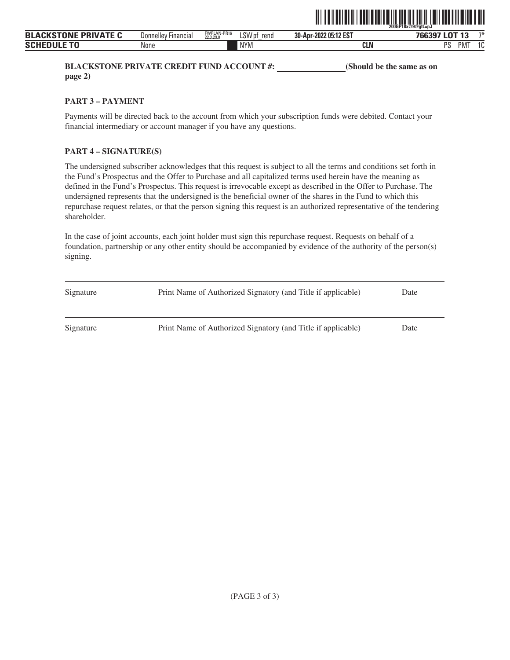

**BLACKSTONE PRIVATE CREDIT FUND ACCOUNT #:** (Should be the same as on **page 2)**

**PART 3 – PAYMENT**

Payments will be directed back to the account from which your subscription funds were debited. Contact your financial intermediary or account manager if you have any questions.

# **PART 4 – SIGNATURE(S)**

The undersigned subscriber acknowledges that this request is subject to all the terms and conditions set forth in the Fund's Prospectus and the Offer to Purchase and all capitalized terms used herein have the meaning as defined in the Fund's Prospectus. This request is irrevocable except as described in the Offer to Purchase. The undersigned represents that the undersigned is the beneficial owner of the shares in the Fund to which this repurchase request relates, or that the person signing this request is an authorized representative of the tendering shareholder.

| Signature | Print Name of Authorized Signatory (and Title if applicable) | Date |
|-----------|--------------------------------------------------------------|------|
| Signature | Print Name of Authorized Signatory (and Title if applicable) | Date |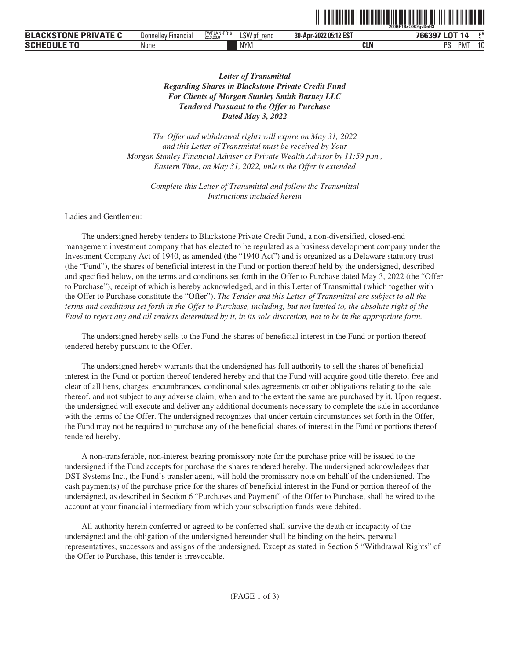|                                        |                               |                          |             |                       | 200GP18x@9@avDeH3         |             |
|----------------------------------------|-------------------------------|--------------------------|-------------|-----------------------|---------------------------|-------------|
| <b>PRIVATE C</b><br>TNNF<br><b>BLA</b> | <b>Hinancial</b><br>Donnelley | FWPLAN-PR16<br>22.3.29.0 | LSW<br>rend | 30-Apr-2022 05:12 EST | 0T 14<br>7CC207 L<br>obs. | mж.         |
| <b>SCHI</b>                            | None                          |                          | <b>NYM</b>  | <b>CLN</b>            | nc<br>'IVI<br>υ           | $\sim$<br>u |

<u>oli od indijenih kolina na izgledni na stanovni se od oslo</u>

# *Letter of Transmittal Regarding Shares in Blackstone Private Credit Fund For Clients of Morgan Stanley Smith Barney LLC Tendered Pursuant to the Offer to Purchase Dated May 3, 2022*

*The Offer and withdrawal rights will expire on May 31, 2022 and this Letter of Transmittal must be received by Your Morgan Stanley Financial Adviser or Private Wealth Advisor by 11:59 p.m., Eastern Time, on May 31, 2022, unless the Offer is extended*

*Complete this Letter of Transmittal and follow the Transmittal Instructions included herein*

Ladies and Gentlemen:

The undersigned hereby tenders to Blackstone Private Credit Fund, a non-diversified, closed-end management investment company that has elected to be regulated as a business development company under the Investment Company Act of 1940, as amended (the "1940 Act") and is organized as a Delaware statutory trust (the "Fund"), the shares of beneficial interest in the Fund or portion thereof held by the undersigned, described and specified below, on the terms and conditions set forth in the Offer to Purchase dated May 3, 2022 (the "Offer to Purchase"), receipt of which is hereby acknowledged, and in this Letter of Transmittal (which together with the Offer to Purchase constitute the "Offer"). *The Tender and this Letter of Transmittal are subject to all the terms and conditions set forth in the Offer to Purchase, including, but not limited to, the absolute right of the Fund to reject any and all tenders determined by it, in its sole discretion, not to be in the appropriate form.*

The undersigned hereby sells to the Fund the shares of beneficial interest in the Fund or portion thereof tendered hereby pursuant to the Offer.

The undersigned hereby warrants that the undersigned has full authority to sell the shares of beneficial interest in the Fund or portion thereof tendered hereby and that the Fund will acquire good title thereto, free and clear of all liens, charges, encumbrances, conditional sales agreements or other obligations relating to the sale thereof, and not subject to any adverse claim, when and to the extent the same are purchased by it. Upon request, the undersigned will execute and deliver any additional documents necessary to complete the sale in accordance with the terms of the Offer. The undersigned recognizes that under certain circumstances set forth in the Offer, the Fund may not be required to purchase any of the beneficial shares of interest in the Fund or portions thereof tendered hereby.

A non-transferable, non-interest bearing promissory note for the purchase price will be issued to the undersigned if the Fund accepts for purchase the shares tendered hereby. The undersigned acknowledges that DST Systems Inc., the Fund's transfer agent, will hold the promissory note on behalf of the undersigned. The cash payment(s) of the purchase price for the shares of beneficial interest in the Fund or portion thereof of the undersigned, as described in Section 6 "Purchases and Payment" of the Offer to Purchase, shall be wired to the account at your financial intermediary from which your subscription funds were debited.

All authority herein conferred or agreed to be conferred shall survive the death or incapacity of the undersigned and the obligation of the undersigned hereunder shall be binding on the heirs, personal representatives, successors and assigns of the undersigned. Except as stated in Section 5 "Withdrawal Rights" of the Offer to Purchase, this tender is irrevocable.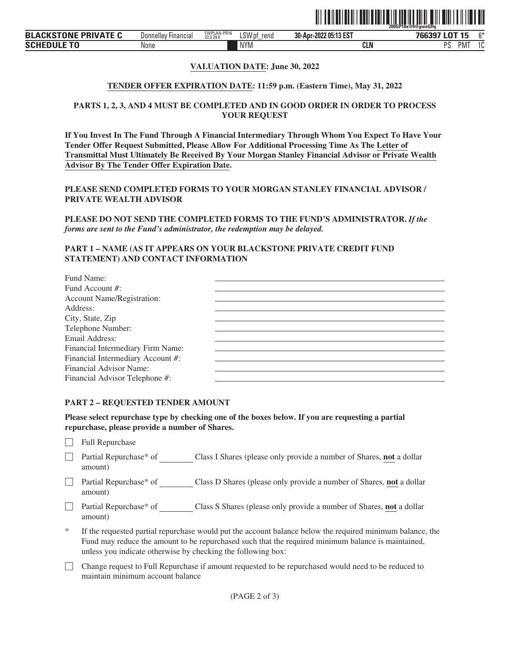

### **VALUATION DATE: June 30, 2022**

#### **TENDER OFFER EXPIRATION DATE: 11:59 p.m. (Eastern Time), May 31, 2022**

### **PARTS 1, 2, 3, AND 4 MUST BE COMPLETED AND IN GOOD ORDER IN ORDER TO PROCESS YOUR REQUEST**

**If You Invest In The Fund Through A Financial Intermediary Through Whom You Expect To Have Your Tender Offer Request Submitted, Please Allow For Additional Processing Time As The Letter of Transmittal Must Ultimately Be Received By Your Morgan Stanley Financial Advisor or Private Wealth Advisor By The Tender Offer Expiration Date.**

**PLEASE SEND COMPLETED FORMS TO YOUR MORGAN STANLEY FINANCIAL ADVISOR / PRIVATE WEALTH ADVISOR**

**PLEASE DO NOT SEND THE COMPLETED FORMS TO THE FUND'S ADMINISTRATOR.** *If the forms are sent to the Fund's administrator, the redemption may be delayed.*

### **PART 1 – NAME (AS IT APPEARS ON YOUR BLACKSTONE PRIVATE CREDIT FUND STATEMENT) AND CONTACT INFORMATION**

| Fund Name:                        |  |
|-----------------------------------|--|
| Fund Account #:                   |  |
| <b>Account Name/Registration:</b> |  |
| Address:                          |  |
| City, State, Zip                  |  |
| Telephone Number:                 |  |
| Email Address:                    |  |
| Financial Intermediary Firm Name: |  |
| Financial Intermediary Account #: |  |
| Financial Advisor Name:           |  |
| Financial Advisor Telephone #:    |  |

#### **PART 2 – REQUESTED TENDER AMOUNT**

**Please select repurchase type by checking one of the boxes below. If you are requesting a partial repurchase, please provide a number of Shares.**

 $\Box$  Full Repurchase

- □ Partial Repurchase\* of Class I Shares (please only provide a number of Shares, **not** a dollar amount)
- □ Partial Repurchase\* of Class D Shares (please only provide a number of Shares, **not** a dollar amount)
- □ Partial Repurchase\* of Class S Shares (please only provide a number of Shares, **not** a dollar amount)
- If the requested partial repurchase would put the account balance below the required minimum balance, the Fund may reduce the amount to be repurchased such that the required minimum balance is maintained, unless you indicate otherwise by checking the following box:
- ' Change request to Full Repurchase if amount requested to be repurchased would need to be reduced to maintain minimum account balance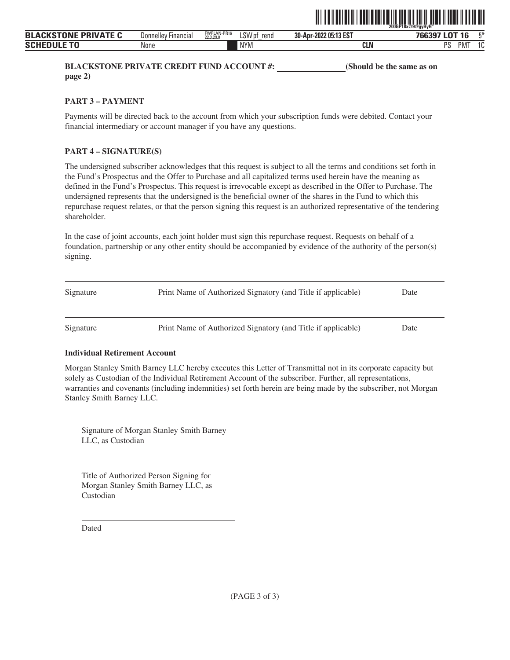

**BLACKSTONE PRIVATE CREDIT FUND ACCOUNT #:** (Should be the same as on **page 2)**

**PART 3 – PAYMENT**

Payments will be directed back to the account from which your subscription funds were debited. Contact your financial intermediary or account manager if you have any questions.

# **PART 4 – SIGNATURE(S)**

The undersigned subscriber acknowledges that this request is subject to all the terms and conditions set forth in the Fund's Prospectus and the Offer to Purchase and all capitalized terms used herein have the meaning as defined in the Fund's Prospectus. This request is irrevocable except as described in the Offer to Purchase. The undersigned represents that the undersigned is the beneficial owner of the shares in the Fund to which this repurchase request relates, or that the person signing this request is an authorized representative of the tendering shareholder.

In the case of joint accounts, each joint holder must sign this repurchase request. Requests on behalf of a foundation, partnership or any other entity should be accompanied by evidence of the authority of the person(s) signing.

| Signature | Print Name of Authorized Signatory (and Title if applicable) | Date |
|-----------|--------------------------------------------------------------|------|
| Signature | Print Name of Authorized Signatory (and Title if applicable) | Date |

## **Individual Retirement Account**

Morgan Stanley Smith Barney LLC hereby executes this Letter of Transmittal not in its corporate capacity but solely as Custodian of the Individual Retirement Account of the subscriber. Further, all representations, warranties and covenants (including indemnities) set forth herein are being made by the subscriber, not Morgan Stanley Smith Barney LLC.

Signature of Morgan Stanley Smith Barney LLC, as Custodian

| Title of Authorized Person Signing for |
|----------------------------------------|
| Morgan Stanley Smith Barney LLC, as    |
| Custodian                              |

Dated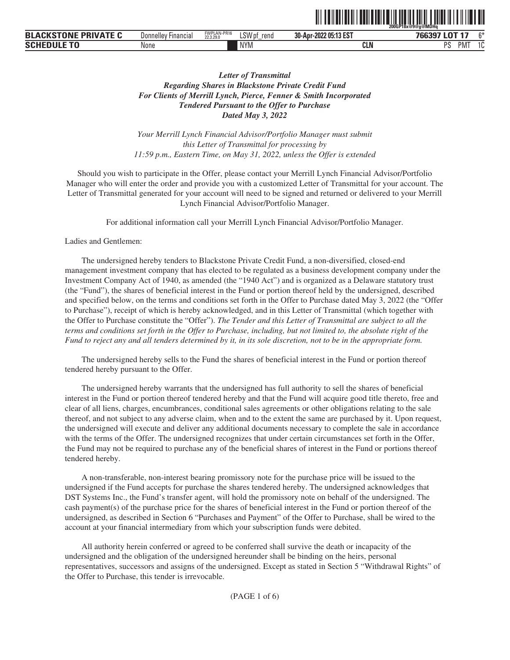|                                              |                                     |                          |                                 |                                  | 200GP18x@9@a@MDHa                 |        |
|----------------------------------------------|-------------------------------------|--------------------------|---------------------------------|----------------------------------|-----------------------------------|--------|
| <b>DRIVATE</b><br>τοΝι<br><b>BLA</b><br>PRII | <b>Donnelley</b><br><b>Financia</b> | FWPLAN-PR16<br>22.3.29.0 | LSW <sup>,</sup><br>rend<br>,,, | 205:13 EST<br>30-Apr-<br>$-2022$ | $\cdots$<br>700007                | $\sim$ |
| <b>SCHE</b>                                  | None                                |                          | <b>NYM</b>                      | <b>CLN</b>                       | PM <sup>-</sup><br><b>DC</b><br>ı | л.     |

ˆ200GP18x@9@g@MDHqŠ

# *Letter of Transmittal Regarding Shares in Blackstone Private Credit Fund For Clients of Merrill Lynch, Pierce, Fenner & Smith Incorporated Tendered Pursuant to the Offer to Purchase Dated May 3, 2022*

*Your Merrill Lynch Financial Advisor/Portfolio Manager must submit this Letter of Transmittal for processing by 11:59 p.m., Eastern Time, on May 31, 2022, unless the Offer is extended*

Should you wish to participate in the Offer, please contact your Merrill Lynch Financial Advisor/Portfolio Manager who will enter the order and provide you with a customized Letter of Transmittal for your account. The Letter of Transmittal generated for your account will need to be signed and returned or delivered to your Merrill Lynch Financial Advisor/Portfolio Manager.

For additional information call your Merrill Lynch Financial Advisor/Portfolio Manager.

#### Ladies and Gentlemen:

The undersigned hereby tenders to Blackstone Private Credit Fund, a non-diversified, closed-end management investment company that has elected to be regulated as a business development company under the Investment Company Act of 1940, as amended (the "1940 Act") and is organized as a Delaware statutory trust (the "Fund"), the shares of beneficial interest in the Fund or portion thereof held by the undersigned, described and specified below, on the terms and conditions set forth in the Offer to Purchase dated May 3, 2022 (the "Offer to Purchase"), receipt of which is hereby acknowledged, and in this Letter of Transmittal (which together with the Offer to Purchase constitute the "Offer"). *The Tender and this Letter of Transmittal are subject to all the terms and conditions set forth in the Offer to Purchase, including, but not limited to, the absolute right of the Fund to reject any and all tenders determined by it, in its sole discretion, not to be in the appropriate form.*

The undersigned hereby sells to the Fund the shares of beneficial interest in the Fund or portion thereof tendered hereby pursuant to the Offer.

The undersigned hereby warrants that the undersigned has full authority to sell the shares of beneficial interest in the Fund or portion thereof tendered hereby and that the Fund will acquire good title thereto, free and clear of all liens, charges, encumbrances, conditional sales agreements or other obligations relating to the sale thereof, and not subject to any adverse claim, when and to the extent the same are purchased by it. Upon request, the undersigned will execute and deliver any additional documents necessary to complete the sale in accordance with the terms of the Offer. The undersigned recognizes that under certain circumstances set forth in the Offer, the Fund may not be required to purchase any of the beneficial shares of interest in the Fund or portions thereof tendered hereby.

A non-transferable, non-interest bearing promissory note for the purchase price will be issued to the undersigned if the Fund accepts for purchase the shares tendered hereby. The undersigned acknowledges that DST Systems Inc., the Fund's transfer agent, will hold the promissory note on behalf of the undersigned. The cash payment(s) of the purchase price for the shares of beneficial interest in the Fund or portion thereof of the undersigned, as described in Section 6 "Purchases and Payment" of the Offer to Purchase, shall be wired to the account at your financial intermediary from which your subscription funds were debited.

All authority herein conferred or agreed to be conferred shall survive the death or incapacity of the undersigned and the obligation of the undersigned hereunder shall be binding on the heirs, personal representatives, successors and assigns of the undersigned. Except as stated in Section 5 "Withdrawal Rights" of the Offer to Purchase, this tender is irrevocable.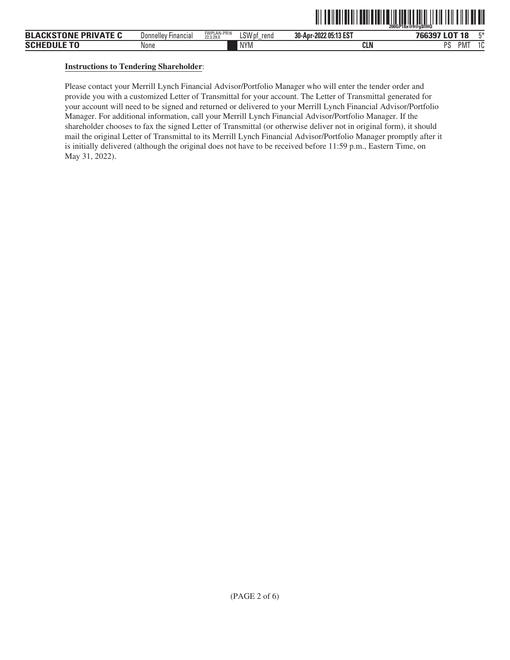|                             |                     |                          |                | ,,,,,,,,,,,,,,<br>,,,,,,,,,,,,,,,,,,,,,,,,,,, | ,,,,,,,,,,,,,,,,,,,,,,,,<br>Z00GP18x@9@a\$fiHQ`     |
|-----------------------------|---------------------|--------------------------|----------------|-----------------------------------------------|-----------------------------------------------------|
| <b>BLACKSTONE PRIVATE C</b> | Donnelley Financial | FWPLAN-PR16<br>22.3.29.0 | LSW pf<br>rend | 30-Apr-2022 05:13 EST                         | 工米<br>766397 LOT 18                                 |
| <b>SCHEDULE TO</b>          | None                |                          | <b>NYM</b>     | <b>CLN</b>                                    | <sub>D</sub> e<br>PM <sup>-</sup><br>$\Delta$<br>د، |

ˆ200GP18x@9@g\$flHQŠ **200GP18x@9@g\$flHQ**

## **Instructions to Tendering Shareholder**:

Please contact your Merrill Lynch Financial Advisor/Portfolio Manager who will enter the tender order and provide you with a customized Letter of Transmittal for your account. The Letter of Transmittal generated for your account will need to be signed and returned or delivered to your Merrill Lynch Financial Advisor/Portfolio Manager. For additional information, call your Merrill Lynch Financial Advisor/Portfolio Manager. If the shareholder chooses to fax the signed Letter of Transmittal (or otherwise deliver not in original form), it should mail the original Letter of Transmittal to its Merrill Lynch Financial Advisor/Portfolio Manager promptly after it is initially delivered (although the original does not have to be received before 11:59 p.m., Eastern Time, on May 31, 2022).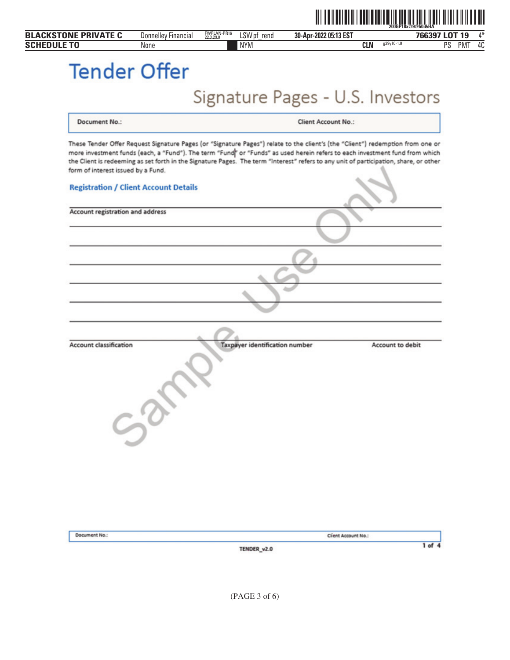|                    | <b>BLACKSTONE PRIVATE C</b>                  | <b>Donnelley Financial</b> | FWPLAN-PR16<br>22.3.29.0<br>LSW pf_rend                                                                                                                                                                                                                                                                                                                                                                | 30-Apr-2022 05:13 EST      |                            | 766397 LOT 19 | 4* |
|--------------------|----------------------------------------------|----------------------------|--------------------------------------------------------------------------------------------------------------------------------------------------------------------------------------------------------------------------------------------------------------------------------------------------------------------------------------------------------------------------------------------------------|----------------------------|----------------------------|---------------|----|
| <b>SCHEDULE TO</b> |                                              | None                       | <b>NYM</b>                                                                                                                                                                                                                                                                                                                                                                                             |                            | $g39y10-1.0$<br><b>CLN</b> | PS PMT        | 4C |
|                    | <b>Tender Offer</b>                          |                            |                                                                                                                                                                                                                                                                                                                                                                                                        |                            |                            |               |    |
|                    |                                              |                            | Signature Pages - U.S. Investors                                                                                                                                                                                                                                                                                                                                                                       |                            |                            |               |    |
|                    | <b>Document No.:</b>                         |                            |                                                                                                                                                                                                                                                                                                                                                                                                        | <b>Client Account No.:</b> |                            |               |    |
|                    | form of interest issued by a Fund.           |                            | These Tender Offer Request Signature Pages (or "Signature Pages") relate to the client's (the "Client") redemption from one or<br>more investment funds (each, a "Fund"). The term "Fund" or "Funds" as used herein refers to each investment fund from which<br>the Client is redeeming as set forth in the Signature Pages. The term "Interest" refers to any unit of participation, share, or other |                            |                            |               |    |
|                    | <b>Registration / Client Account Details</b> |                            |                                                                                                                                                                                                                                                                                                                                                                                                        |                            |                            |               |    |
|                    | Account registration and address             |                            |                                                                                                                                                                                                                                                                                                                                                                                                        |                            |                            |               |    |
|                    |                                              |                            |                                                                                                                                                                                                                                                                                                                                                                                                        |                            |                            |               |    |
|                    |                                              |                            |                                                                                                                                                                                                                                                                                                                                                                                                        |                            |                            |               |    |
|                    |                                              |                            |                                                                                                                                                                                                                                                                                                                                                                                                        |                            |                            |               |    |
|                    | <b>Account classification</b>                | Sarr                       | Taxpayer identification number                                                                                                                                                                                                                                                                                                                                                                         |                            | Account to debit           |               |    |
|                    |                                              |                            |                                                                                                                                                                                                                                                                                                                                                                                                        |                            |                            |               |    |

TENDER\_v2.0

Document No.:

 $1$  of  $4$ 

Client Account No.: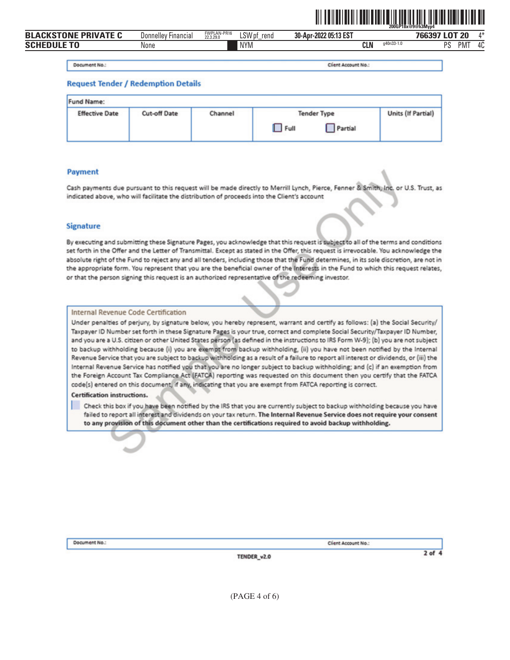

| <b>ICKSTONF PRIVATF C</b><br><b>BLA</b> | Donnelley<br><b>Hinancial</b> | FWPLAN-PR16<br>22.3.29.0 | LSW pf<br>rend<br>$-$ | 30-Apr-2022 05:13 EST |            |            | 766397 LOT 20 |            | Л*                   |
|-----------------------------------------|-------------------------------|--------------------------|-----------------------|-----------------------|------------|------------|---------------|------------|----------------------|
| <b>SCHEDULE TO</b>                      | None                          |                          | <b>NYM</b>            |                       | <b>CLN</b> | q40n33-1.0 | ne            | <b>PMT</b> | $\overline{a}$<br>4U |
|                                         |                               |                          |                       |                       |            |            |               |            |                      |

Document No.:

Client Account No.

#### **Request Tender / Redemption Details**

| Fund Name:            |              |         |                                                                   |                    |
|-----------------------|--------------|---------|-------------------------------------------------------------------|--------------------|
| <b>Effective Date</b> | Cut-off Date | Channel | <b>Tender Type</b><br>Partial<br>$\Box$ Full<br><b>CONTRACTOR</b> | Units (If Partial) |

#### **Payment**

Cash payments due pursuant to this request will be made directly to Merrill Lynch, Pierce, Fenner & Smith, Inc. or U.S. Trust, as indicated above, who will facilitate the distribution of proceeds into the Client's account

#### **Signature**

By executing and submitting these Signature Pages, you acknowledge that this request is subject to all of the terms and conditions set forth in the Offer and the Letter of Transmittal. Except as stated in the Offer, this request is irrevocable. You acknowledge the absolute right of the Fund to reject any and all tenders, including those that the Fund determines, in its sole discretion, are not in the appropriate form. You represent that you are the beneficial owner of the interests in the Fund to which this request relates, or that the person signing this request is an authorized representative of the redeeming investor.

#### Internal Revenue Code Certification

Under penalties of perjury, by signature below, you hereby represent, warrant and certify as follows: (a) the Social Security/ Taxpayer ID Number set forth in these Signature Pages is your true, correct and complete Social Security/Taxpayer ID Number, and you are a U.S. citizen or other United States person (as defined in the instructions to IRS Form W-9); (b) you are not subject to backup withholding because (i) you are exempt from backup withholding, (ii) you have not been notified by the Internal Revenue Service that you are subject to backup withholding as a result of a failure to report all interest or dividends, or (iii) the Internal Revenue Service has notified you that you are no longer subject to backup withholding; and (c) if an exemption from the Foreign Account Tax Compliance Act (FATCA) reporting was requested on this document then you certify that the FATCA code(s) entered on this document, if any, indicating that you are exempt from FATCA reporting is correct.

#### Certification instructions.

Check this box if you have been notified by the IRS that you are currently subject to backup withholding because you have failed to report all interest and dividends on your tax return. The Internal Revenue Service does not require your consent to any provision of this document other than the certifications required to avoid backup withholding.

Document No.:

Client Account No.:

TENDER\_v2.0

 $2$  of  $4$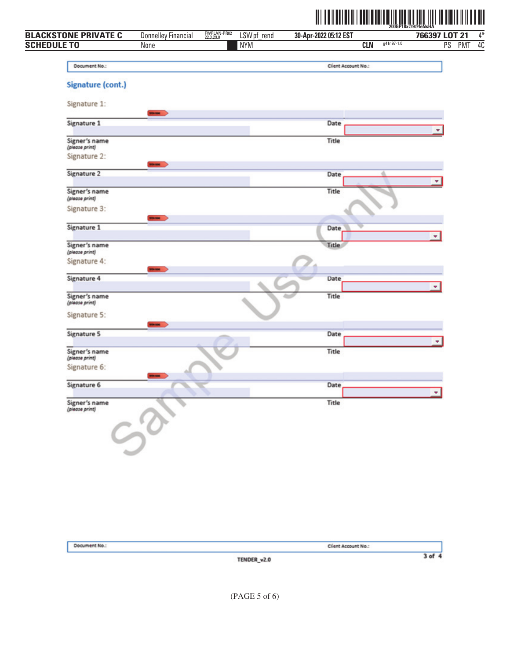|                                 |                            |                                         | <u> III IIII IIII IIII</u> |                     |              |               | Ш      |
|---------------------------------|----------------------------|-----------------------------------------|----------------------------|---------------------|--------------|---------------|--------|
| <b>BLACKSTONE PRIVATE C</b>     | <b>Donnelley Financial</b> | FWPLAN-PR02<br>22.3.29.0<br>LSW pf_rend | 30-Apr-2022 05:12 EST      |                     |              | 766397 LOT 21 |        |
| <b>SCHEDULE TO</b>              | None                       | <b>NYM</b>                              |                            | <b>CLN</b>          | $g41n97-1.0$ |               | PS PMT |
| Document No.:                   |                            |                                         |                            | Client Account No.: |              |               |        |
| Signature (cont.)               |                            |                                         |                            |                     |              |               |        |
| Signature 1:                    | <b>STATISTICS</b>          |                                         |                            |                     |              |               |        |
| Signature 1                     |                            |                                         | Date                       |                     |              |               |        |
| Signer's name<br>(piease print) |                            |                                         | Title                      |                     |              |               |        |
| Signature 2:                    | <b>STATE</b>               |                                         |                            |                     |              |               |        |
| Signature 2                     |                            |                                         | Date                       |                     |              | ٠             |        |
| Signer's name<br>(please print) |                            |                                         | Title                      |                     |              |               |        |
| Signature 3:                    | <b>STATISTICS</b>          |                                         |                            |                     |              |               |        |
| Signature 1                     |                            |                                         | Date                       |                     |              | ٠             |        |
| Signer's name<br>(please print) |                            |                                         | Title                      |                     |              |               |        |
| Signature 4:                    | <b>HOLES</b>               |                                         |                            |                     |              |               |        |
| Signature 4                     |                            |                                         | Date                       |                     |              | ٠             |        |
| Signer's name<br>(piease print) |                            |                                         | Title                      |                     |              |               |        |
| Signature 5:                    | <b>WINDER</b>              |                                         |                            |                     |              |               |        |
| Signature 5                     |                            |                                         | Date                       |                     |              | ٠             |        |
| Signer's name<br>(piease print) |                            |                                         | Title                      |                     |              |               |        |
| Signature 6:                    |                            |                                         |                            |                     |              |               |        |
| Signature 6                     |                            |                                         | Date                       |                     |              | ٠             |        |
| Signer's name<br>(piease print) |                            |                                         | Title                      |                     |              |               |        |
|                                 |                            |                                         |                            |                     |              |               |        |
|                                 |                            |                                         |                            |                     |              |               |        |

| Document No.: |             | Client Account No.: |
|---------------|-------------|---------------------|
|               | TENDER_v2.0 | $3$ of $4$          |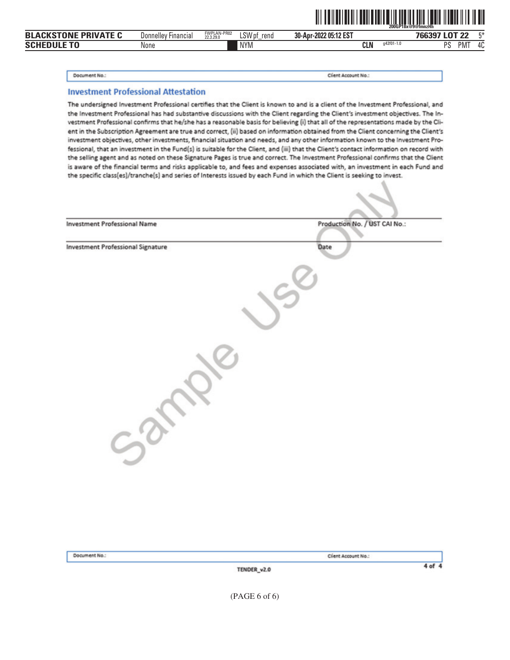|                                       |                            |                          |                              |                       |           | .<br>200GP18x@9@fmnzHh                       |                       |
|---------------------------------------|----------------------------|--------------------------|------------------------------|-----------------------|-----------|----------------------------------------------|-----------------------|
| <b>BLACKSTONE</b><br><b>PRIVATE C</b> | <b>Donnelley Financial</b> | FWPLAN-PR02<br>22.3.29.0 | $\sqrt{\rm C}$<br>rend<br>ື້ | 30-Apr-2022 05:12 EST |           | <b>INT</b><br>766397<br>ົດຕ<br>∸             | $F^*$                 |
| <b>SCHEDULE TO</b>                    | None                       |                          | <b>NYM</b>                   | <b>CLN</b>            | q42f01-1. | <sub>D</sub> <sub>C</sub><br>PM <sup>-</sup> | $\overline{ }$<br>,,, |

#### Document No.:

Client Account No.:

ˆ200GP18x@9@fmnzHhŠ **200GP18x@9@fmnzHh**

# **Investment Professional Attestation**

The undersigned Investment Professional certifies that the Client is known to and is a client of the Investment Professional, and the Investment Professional has had substantive discussions with the Client regarding the Client's investment objectives. The Investment Professional confirms that he/she has a reasonable basis for believing (i) that all of the representations made by the Client in the Subscription Agreement are true and correct, (ii) based on information obtained from the Client concerning the Client's investment objectives, other investments, financial situation and needs, and any other information known to the Investment Professional, that an investment in the Fund(s) is suitable for the Client, and (iii) that the Client's contact information on record with the selling agent and as noted on these Signature Pages is true and correct. The Investment Professional confirms that the Client is aware of the financial terms and risks applicable to, and fees and expenses associated with, an investment in each Fund and the specific class(es)/tranche(s) and series of Interests issued by each Fund in which the Client is seeking to invest.

| <b>Investment Professional Name</b>      | Production No. / UST CAI No.: |
|------------------------------------------|-------------------------------|
|                                          |                               |
| <b>Investment Professional Signature</b> | Date                          |
|                                          |                               |
|                                          |                               |
|                                          |                               |
|                                          |                               |
|                                          |                               |
|                                          |                               |
|                                          |                               |
|                                          |                               |
|                                          |                               |
|                                          |                               |
|                                          |                               |
|                                          |                               |
|                                          |                               |
|                                          |                               |
|                                          |                               |
|                                          |                               |
|                                          |                               |
|                                          |                               |

| Document No.: | Client Account No.: |
|---------------|---------------------|
|               | TENDER_v2.0         |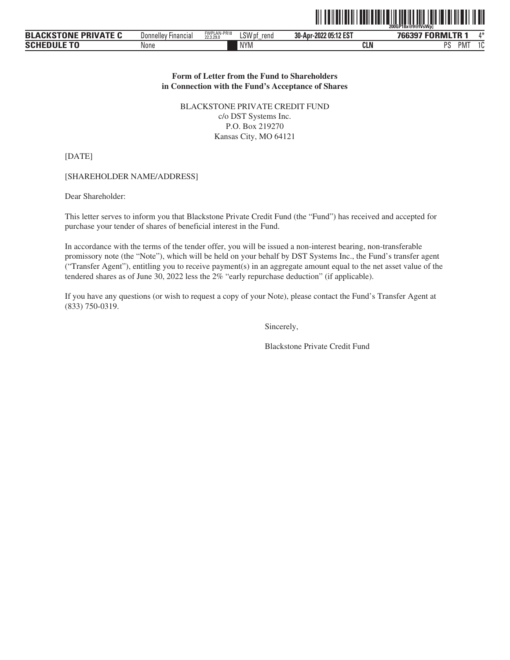|                             |                            |                          |                |                       | <u> 111   111   111   111   111   111   111   111   111   111   111   111   111   111   11</u><br>║║║<br>200GP18x@9@fVsWp |
|-----------------------------|----------------------------|--------------------------|----------------|-----------------------|---------------------------------------------------------------------------------------------------------------------------|
| <b>BLACKSTONE PRIVATE C</b> | <b>Donnelley Financial</b> | FWPLAN-PR18<br>22.3.29.0 | LSW pf<br>rend | 30-Apr-2022 05:12 EST | 766397 FORMLTR 1                                                                                                          |
| <b>SCHEDULE TO</b>          | None                       |                          | <b>NYM</b>     | <b>CLN</b>            | PS<br>PMT                                                                                                                 |

ˆ200GP18x@9@fVsWp]Š **200GP18x@9@fVsWp]**

NYM **CLN** PS

### **Form of Letter from the Fund to Shareholders in Connection with the Fund's Acceptance of Shares**

BLACKSTONE PRIVATE CREDIT FUND c/o DST Systems Inc. P.O. Box 219270 Kansas City, MO 64121

[DATE]

[SHAREHOLDER NAME/ADDRESS]

Dear Shareholder:

This letter serves to inform you that Blackstone Private Credit Fund (the "Fund") has received and accepted for purchase your tender of shares of beneficial interest in the Fund.

In accordance with the terms of the tender offer, you will be issued a non-interest bearing, non-transferable promissory note (the "Note"), which will be held on your behalf by DST Systems Inc., the Fund's transfer agent ("Transfer Agent"), entitling you to receive payment(s) in an aggregate amount equal to the net asset value of the tendered shares as of June 30, 2022 less the 2% "early repurchase deduction" (if applicable).

If you have any questions (or wish to request a copy of your Note), please contact the Fund's Transfer Agent at (833) 750-0319.

Sincerely,

Blackstone Private Credit Fund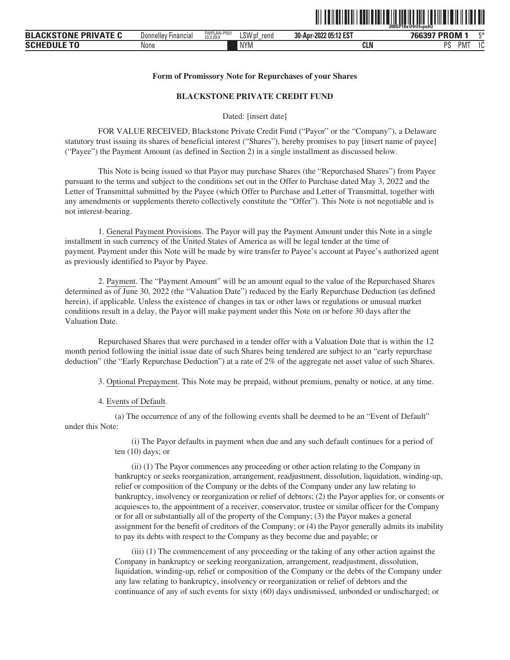

#### **Form of Promissory Note for Repurchases of your Shares**

### **BLACKSTONE PRIVATE CREDIT FUND**

Dated: [insert date]

FOR VALUE RECEIVED, Blackstone Private Credit Fund ("Payor" or the "Company"), a Delaware statutory trust issuing its shares of beneficial interest ("Shares"), hereby promises to pay [insert name of payee] ("Payee") the Payment Amount (as defined in Section 2) in a single installment as discussed below.

This Note is being issued so that Payor may purchase Shares (the "Repurchased Shares") from Payee pursuant to the terms and subject to the conditions set out in the Offer to Purchase dated May 3, 2022 and the Letter of Transmittal submitted by the Payee (which Offer to Purchase and Letter of Transmittal, together with any amendments or supplements thereto collectively constitute the "Offer"). This Note is not negotiable and is not interest-bearing.

1. General Payment Provisions. The Payor will pay the Payment Amount under this Note in a single installment in such currency of the United States of America as will be legal tender at the time of payment. Payment under this Note will be made by wire transfer to Payee's account at Payee's authorized agent as previously identified to Payor by Payee.

2. Payment. The "Payment Amount" will be an amount equal to the value of the Repurchased Shares determined as of June 30, 2022 (the "Valuation Date") reduced by the Early Repurchase Deduction (as defined herein), if applicable. Unless the existence of changes in tax or other laws or regulations or unusual market conditions result in a delay, the Payor will make payment under this Note on or before 30 days after the Valuation Date.

Repurchased Shares that were purchased in a tender offer with a Valuation Date that is within the 12 month period following the initial issue date of such Shares being tendered are subject to an "early repurchase deduction" (the "Early Repurchase Deduction") at a rate of 2% of the aggregate net asset value of such Shares.

3. Optional Prepayment. This Note may be prepaid, without premium, penalty or notice, at any time.

4. Events of Default.

(a) The occurrence of any of the following events shall be deemed to be an "Event of Default" under this Note:

> (i) The Payor defaults in payment when due and any such default continues for a period of ten (10) days; or

(ii) (1) The Payor commences any proceeding or other action relating to the Company in bankruptcy or seeks reorganization, arrangement, readjustment, dissolution, liquidation, winding-up, relief or composition of the Company or the debts of the Company under any law relating to bankruptcy, insolvency or reorganization or relief of debtors; (2) the Payor applies for, or consents or acquiesces to, the appointment of a receiver, conservator, trustee or similar officer for the Company or for all or substantially all of the property of the Company; (3) the Payor makes a general assignment for the benefit of creditors of the Company; or (4) the Payor generally admits its inability to pay its debts with respect to the Company as they become due and payable; or

(iii) (1) The commencement of any proceeding or the taking of any other action against the Company in bankruptcy or seeking reorganization, arrangement, readjustment, dissolution, liquidation, winding-up, relief or composition of the Company or the debts of the Company under any law relating to bankruptcy, insolvency or reorganization or relief of debtors and the continuance of any of such events for sixty (60) days undismissed, unbonded or undischarged; or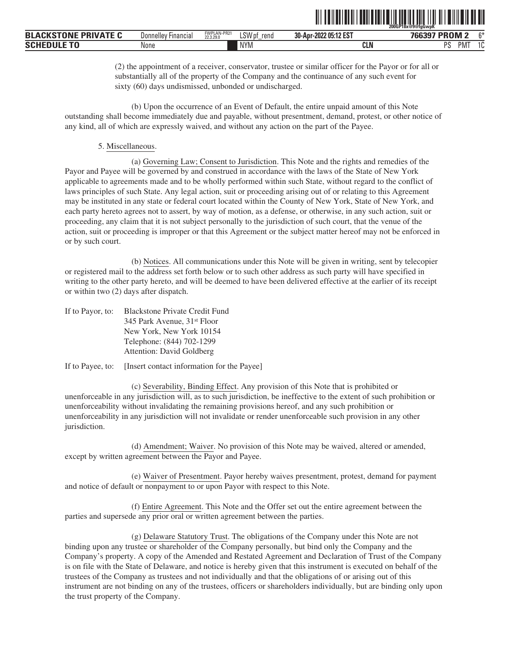|                                     |                                                 |                          |                       | ---------                        | 200GP18x@9@faGwpK<br>.<br>_____ |        |
|-------------------------------------|-------------------------------------------------|--------------------------|-----------------------|----------------------------------|---------------------------------|--------|
| <b>DRIVATE</b><br><b>BLA</b><br>РКН | $- \cdot$<br><b>Donnelle</b><br><b>Financia</b> | FWPLAN-PR21<br>22.3.29.0 | LSW'<br>rend<br>v 1.J | 205:12 EST<br>30-Apr-<br>$-2022$ | <b>PROM2</b><br>zu              | $\sim$ |
| $-2$<br><b>SCHI</b>                 | None                                            |                          | <b>NYM</b>            | <b>CLN</b>                       | PM <sup>-</sup><br><b>DC</b>    |        |

(2) the appointment of a receiver, conservator, trustee or similar officer for the Payor or for all or substantially all of the property of the Company and the continuance of any such event for sixty (60) days undismissed, unbonded or undischarged.

<u>ol og halvede i samtidigen som startede i den større som s</u>

(b) Upon the occurrence of an Event of Default, the entire unpaid amount of this Note outstanding shall become immediately due and payable, without presentment, demand, protest, or other notice of any kind, all of which are expressly waived, and without any action on the part of the Payee.

#### 5. Miscellaneous.

(a) Governing Law; Consent to Jurisdiction. This Note and the rights and remedies of the Payor and Payee will be governed by and construed in accordance with the laws of the State of New York applicable to agreements made and to be wholly performed within such State, without regard to the conflict of laws principles of such State. Any legal action, suit or proceeding arising out of or relating to this Agreement may be instituted in any state or federal court located within the County of New York, State of New York, and each party hereto agrees not to assert, by way of motion, as a defense, or otherwise, in any such action, suit or proceeding, any claim that it is not subject personally to the jurisdiction of such court, that the venue of the action, suit or proceeding is improper or that this Agreement or the subject matter hereof may not be enforced in or by such court.

(b) Notices. All communications under this Note will be given in writing, sent by telecopier or registered mail to the address set forth below or to such other address as such party will have specified in writing to the other party hereto, and will be deemed to have been delivered effective at the earlier of its receipt or within two (2) days after dispatch.

| If to Payor, to: | <b>Blackstone Private Credit Fund</b>   |
|------------------|-----------------------------------------|
|                  | 345 Park Avenue, 31 <sup>st</sup> Floor |
|                  | New York, New York 10154                |
|                  | Telephone: (844) 702-1299               |
|                  | Attention: David Goldberg               |
|                  |                                         |

If to Payee, to: [Insert contact information for the Payee]

(c) Severability, Binding Effect. Any provision of this Note that is prohibited or unenforceable in any jurisdiction will, as to such jurisdiction, be ineffective to the extent of such prohibition or unenforceability without invalidating the remaining provisions hereof, and any such prohibition or unenforceability in any jurisdiction will not invalidate or render unenforceable such provision in any other jurisdiction.

(d) Amendment; Waiver. No provision of this Note may be waived, altered or amended, except by written agreement between the Payor and Payee.

(e) Waiver of Presentment. Payor hereby waives presentment, protest, demand for payment and notice of default or nonpayment to or upon Payor with respect to this Note.

(f) Entire Agreement. This Note and the Offer set out the entire agreement between the parties and supersede any prior oral or written agreement between the parties.

(g) Delaware Statutory Trust. The obligations of the Company under this Note are not binding upon any trustee or shareholder of the Company personally, but bind only the Company and the Company's property. A copy of the Amended and Restated Agreement and Declaration of Trust of the Company is on file with the State of Delaware, and notice is hereby given that this instrument is executed on behalf of the trustees of the Company as trustees and not individually and that the obligations of or arising out of this instrument are not binding on any of the trustees, officers or shareholders individually, but are binding only upon the trust property of the Company.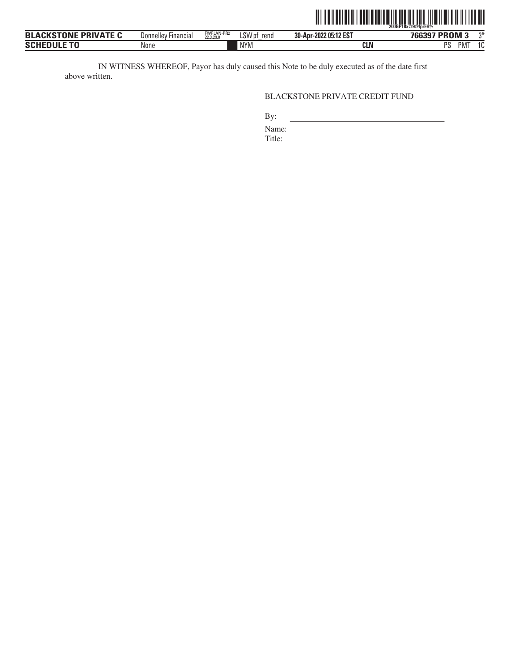

IN WITNESS WHEREOF, Payor has duly caused this Note to be duly executed as of the date first above written.

# BLACKSTONE PRIVATE CREDIT FUND

NYM **CLN** PS

By:

Name:

Title: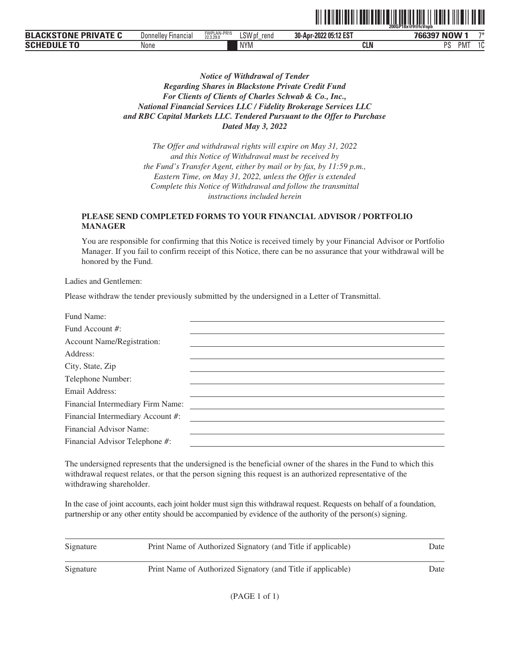|                                                |                                 |                         |                | - - -  -- . -- - --- . - -- | 200GP18x@9@fcVnpb<br>.                    |                                |
|------------------------------------------------|---------------------------------|-------------------------|----------------|-----------------------------|-------------------------------------------|--------------------------------|
| TOBIC<br>DDIVATE<br><b>BLA</b><br>'NJ !<br>"Ni | ' Financial<br><b>Donnelley</b> | FWPLAN-PR15<br>22.3.29. | LSW pf<br>rend | 30-Apr-2022 05:12 EST       | <b>NOW</b><br>$\sim$ $\sim$ $\sim$ $\sim$ | $7*$                           |
| <b>SCHI</b><br>v.                              | 'Vone                           |                         | <b>NYM</b>     | CLN                         | PM.<br>nc<br>u                            | $\overline{\phantom{0}}$<br>טו |

<u>oli od indijelovanje u predsjednje u predsjednje u predsjednje u predsjednje u predsjednje u predsjednje u pre</u>

# *Notice of Withdrawal of Tender Regarding Shares in Blackstone Private Credit Fund For Clients of Clients of Charles Schwab & Co., Inc., National Financial Services LLC / Fidelity Brokerage Services LLC and RBC Capital Markets LLC. Tendered Pursuant to the Offer to Purchase Dated May 3, 2022*

*The Offer and withdrawal rights will expire on May 31, 2022 and this Notice of Withdrawal must be received by the Fund's Transfer Agent, either by mail or by fax, by 11:59 p.m., Eastern Time, on May 31, 2022, unless the Offer is extended Complete this Notice of Withdrawal and follow the transmittal instructions included herein*

# **PLEASE SEND COMPLETED FORMS TO YOUR FINANCIAL ADVISOR / PORTFOLIO MANAGER**

You are responsible for confirming that this Notice is received timely by your Financial Advisor or Portfolio Manager. If you fail to confirm receipt of this Notice, there can be no assurance that your withdrawal will be honored by the Fund.

Ladies and Gentlemen:

Please withdraw the tender previously submitted by the undersigned in a Letter of Transmittal.

| Fund Name:                        |  |
|-----------------------------------|--|
| Fund Account #:                   |  |
| Account Name/Registration:        |  |
| Address:                          |  |
| City, State, Zip                  |  |
| Telephone Number:                 |  |
| Email Address:                    |  |
| Financial Intermediary Firm Name: |  |
| Financial Intermediary Account #: |  |
| Financial Advisor Name:           |  |
| Financial Advisor Telephone #:    |  |
|                                   |  |

The undersigned represents that the undersigned is the beneficial owner of the shares in the Fund to which this withdrawal request relates, or that the person signing this request is an authorized representative of the withdrawing shareholder.

| Signature | Print Name of Authorized Signatory (and Title if applicable) | Date |
|-----------|--------------------------------------------------------------|------|
| Signature | Print Name of Authorized Signatory (and Title if applicable) | Date |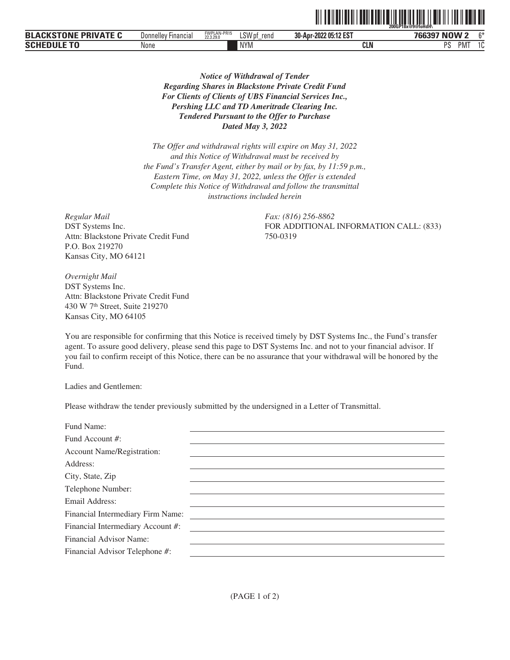|                                                   |                     |                          |                |                       | ~200GP18x@9@foHdH\ |              |
|---------------------------------------------------|---------------------|--------------------------|----------------|-----------------------|--------------------|--------------|
| <b>ACKSTONF</b><br><b>PRIVATE C</b><br><b>BLA</b> | Donnelley Financial | FWPLAN-PR15<br>22.3.29.0 | LSW pf<br>rend | 30-Apr-2022 05:12 EST | 766397 NOW 2       | $\sim$       |
| <b>COUFDULE</b>                                   | None                |                          | <b>NYM</b>     | CLN                   | nс<br>PM.          | $\sim$<br>טו |

*Notice of Withdrawal of Tender Regarding Shares in Blackstone Private Credit Fund For Clients of Clients of UBS Financial Services Inc., Pershing LLC and TD Ameritrade Clearing Inc. Tendered Pursuant to the Offer to Purchase Dated May 3, 2022*

*The Offer and withdrawal rights will expire on May 31, 2022 and this Notice of Withdrawal must be received by the Fund's Transfer Agent, either by mail or by fax, by 11:59 p.m., Eastern Time, on May 31, 2022, unless the Offer is extended Complete this Notice of Withdrawal and follow the transmittal instructions included herein*

*Regular Mail Fax: (816) 256-8862* DST Systems Inc. Attn: Blackstone Private Credit Fund P.O. Box 219270 Kansas City, MO 64121

FOR ADDITIONAL INFORMATION CALL: (833) 750-0319

ˆ200GP18x@9@foHdH\Š **200GP18x@9@foHdH\**

*Overnight Mail* DST Systems Inc. Attn: Blackstone Private Credit Fund 430 W 7th Street, Suite 219270 Kansas City, MO 64105

You are responsible for confirming that this Notice is received timely by DST Systems Inc., the Fund's transfer agent. To assure good delivery, please send this page to DST Systems Inc. and not to your financial advisor. If you fail to confirm receipt of this Notice, there can be no assurance that your withdrawal will be honored by the Fund.

Ladies and Gentlemen:

Please withdraw the tender previously submitted by the undersigned in a Letter of Transmittal.

| Fund Name:                        |  |
|-----------------------------------|--|
| Fund Account #:                   |  |
| <b>Account Name/Registration:</b> |  |
| Address:                          |  |
| City, State, Zip                  |  |
| Telephone Number:                 |  |
| Email Address:                    |  |
| Financial Intermediary Firm Name: |  |
| Financial Intermediary Account #: |  |
| Financial Advisor Name:           |  |
| Financial Advisor Telephone #:    |  |
|                                   |  |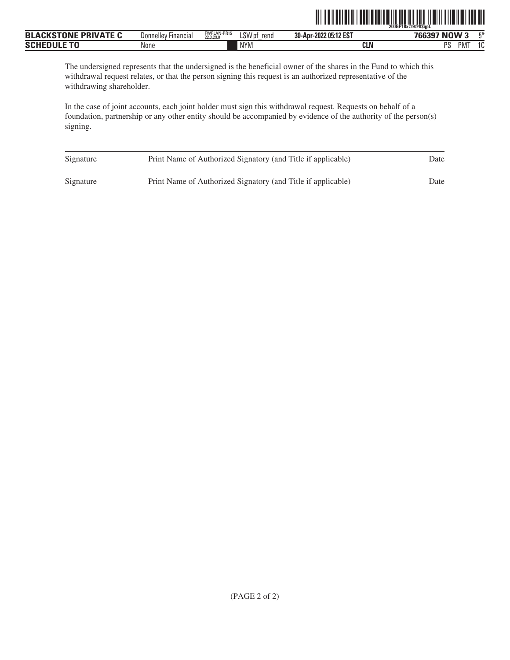|                             |                     |                          |                | <u> IIIIIIIIIIIIIIIIIIIIIIIIIIIIIII</u><br>IIIII | 200GP18x@9@ftSapL             |       |
|-----------------------------|---------------------|--------------------------|----------------|--------------------------------------------------|-------------------------------|-------|
| <b>BLACKSTONE PRIVATE C</b> | Donnelley Financial | FWPLAN-PR15<br>22.3.29.0 | LSW pf<br>rend | 30-Apr-2022 05:12 EST                            | 766397 NOW 3                  | $F^*$ |
| <b>SCHEDULE TO</b>          | None                |                          | <b>NYM</b>     | <b>CLN</b>                                       | PS<br>$1^\circ$<br><b>PMT</b> | ΙU    |

The undersigned represents that the undersigned is the beneficial owner of the shares in the Fund to which this withdrawal request relates, or that the person signing this request is an authorized representative of the withdrawing shareholder.

| Signature | Print Name of Authorized Signatory (and Title if applicable) | Date |
|-----------|--------------------------------------------------------------|------|
| Signature | Print Name of Authorized Signatory (and Title if applicable) | Date |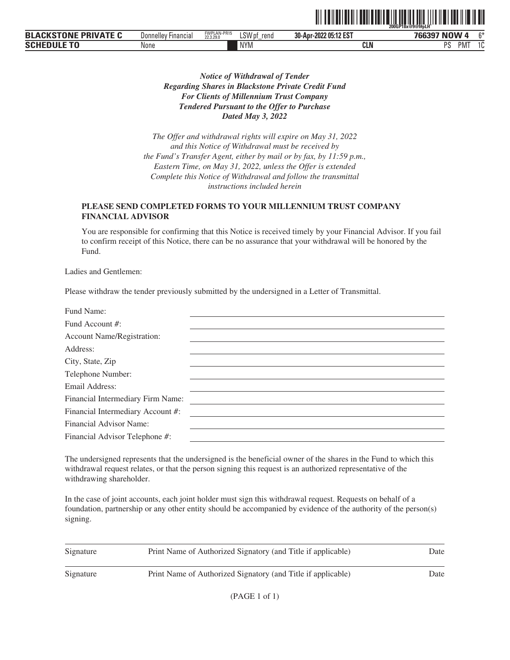|                                           |                     |                          |                |                       | 200GP18x@9@f#pLH        |              |
|-------------------------------------------|---------------------|--------------------------|----------------|-----------------------|-------------------------|--------------|
| <b>PRIVATE</b><br>---<br><b>BL</b><br>JN' | Donnelley Financial | FWPLAN-PR15<br>22.3.29.0 | LSW pf<br>rend | 30-Apr-2022 05:12 EST | $\mathbf{F}$<br>NU<br>w | $\sim$       |
| <b>SCHE</b>                               | None                |                          | <b>NYM</b>     | CLN                   | nc<br>PM.               | $\sim$<br>טו |

<u>oli ordinalist ordinalist ordinalist ordinalist ordinalist ordinal</u>

*Notice of Withdrawal of Tender Regarding Shares in Blackstone Private Credit Fund For Clients of Millennium Trust Company Tendered Pursuant to the Offer to Purchase Dated May 3, 2022*

*The Offer and withdrawal rights will expire on May 31, 2022 and this Notice of Withdrawal must be received by the Fund's Transfer Agent, either by mail or by fax, by 11:59 p.m., Eastern Time, on May 31, 2022, unless the Offer is extended Complete this Notice of Withdrawal and follow the transmittal instructions included herein*

## **PLEASE SEND COMPLETED FORMS TO YOUR MILLENNIUM TRUST COMPANY FINANCIAL ADVISOR**

You are responsible for confirming that this Notice is received timely by your Financial Advisor. If you fail to confirm receipt of this Notice, there can be no assurance that your withdrawal will be honored by the Fund.

Ladies and Gentlemen:

Please withdraw the tender previously submitted by the undersigned in a Letter of Transmittal.

The undersigned represents that the undersigned is the beneficial owner of the shares in the Fund to which this withdrawal request relates, or that the person signing this request is an authorized representative of the withdrawing shareholder.

| Signature | Print Name of Authorized Signatory (and Title if applicable) | Date |
|-----------|--------------------------------------------------------------|------|
| Signature | Print Name of Authorized Signatory (and Title if applicable) | Date |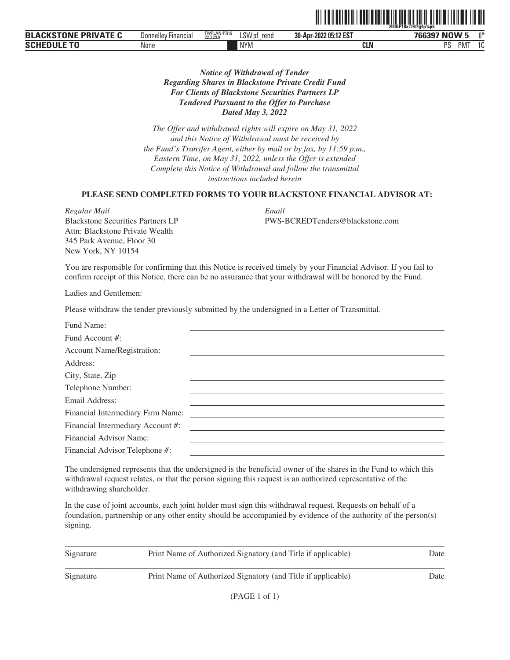|                                                          |                               |                          |                       |                               | 200GP18x@9@g4p%pk             |               |
|----------------------------------------------------------|-------------------------------|--------------------------|-----------------------|-------------------------------|-------------------------------|---------------|
| NIXATE<br><b>TABIT</b><br><b>BLA</b><br>DD<br>. IV<br>חז | <b>Financial</b><br>Donnelley | FWPLAN-PR15<br>22.3.29.0 | LSWr<br>rend<br>V IJI | -2022 05:12 EST<br>30-Apr-202 | P<br>$\mathbf{R}$<br>w<br>- - | $^{\sim}$     |
| <b>SCH</b>                                               | None                          |                          | <b>NYM</b>            | CLN                           | nс<br>PMT<br>ັ                | $\sim$<br>ט ו |

# *Notice of Withdrawal of Tender Regarding Shares in Blackstone Private Credit Fund For Clients of Blackstone Securities Partners LP Tendered Pursuant to the Offer to Purchase Dated May 3, 2022*

*The Offer and withdrawal rights will expire on May 31, 2022 and this Notice of Withdrawal must be received by the Fund's Transfer Agent, either by mail or by fax, by 11:59 p.m., Eastern Time, on May 31, 2022, unless the Offer is extended Complete this Notice of Withdrawal and follow the transmittal instructions included herein*

### **PLEASE SEND COMPLETED FORMS TO YOUR BLACKSTONE FINANCIAL ADVISOR AT:**

*Regular Mail Email* Blackstone Securities Partners LP Attn: Blackstone Private Wealth 345 Park Avenue, Floor 30 New York, NY 10154

PWS-BCREDTenders@blackstone.com

ˆ200GP18x@9@g4p%pkŠ

You are responsible for confirming that this Notice is received timely by your Financial Advisor. If you fail to confirm receipt of this Notice, there can be no assurance that your withdrawal will be honored by the Fund.

Ladies and Gentlemen:

Please withdraw the tender previously submitted by the undersigned in a Letter of Transmittal.

The undersigned represents that the undersigned is the beneficial owner of the shares in the Fund to which this withdrawal request relates, or that the person signing this request is an authorized representative of the withdrawing shareholder.

| Signature | Print Name of Authorized Signatory (and Title if applicable) | Date |
|-----------|--------------------------------------------------------------|------|
| Signature | Print Name of Authorized Signatory (and Title if applicable) | Date |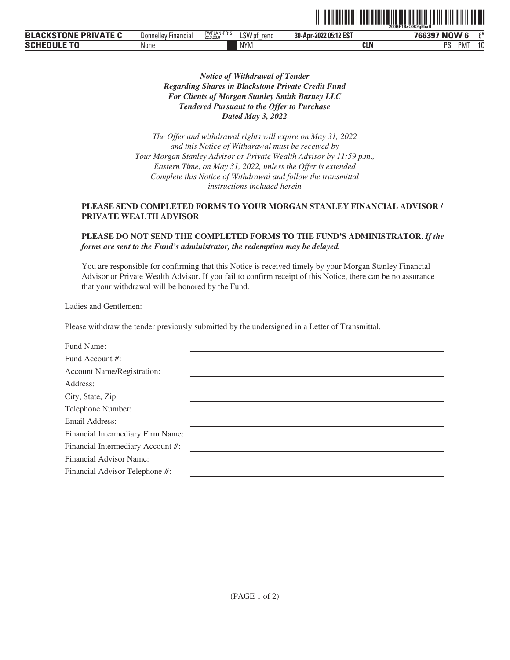|                                       |                         |                          |                                       | 200GP18x@9@aFbaH      |                            |               |  |
|---------------------------------------|-------------------------|--------------------------|---------------------------------------|-----------------------|----------------------------|---------------|--|
| <b>BLACKSTONE</b><br><b>PRIVATE C</b> | Donnelley'<br>Financia. | FWPLAN-PR15<br>22.3.29.0 | LSW <sub>p</sub><br>rend<br>v ni<br>- | 30-Apr-2022 05:12 EST | <b>766397 NOW 6</b>        | $\sim$        |  |
| <b>SCHEDULE</b>                       | None                    |                          | <b>NYM</b>                            | CLN                   | nе<br>PM <sup>-</sup><br>ັ | $\sim$<br>ں ، |  |

TITE AND AN INDIANA AND A CONTRACT OF THE ANNUAL AND A CONTRACT OF THE ANGLE OF THE ANGLE OF THE ANGLE OF THE

# *Notice of Withdrawal of Tender Regarding Shares in Blackstone Private Credit Fund For Clients of Morgan Stanley Smith Barney LLC Tendered Pursuant to the Offer to Purchase Dated May 3, 2022*

*The Offer and withdrawal rights will expire on May 31, 2022 and this Notice of Withdrawal must be received by Your Morgan Stanley Advisor or Private Wealth Advisor by 11:59 p.m., Eastern Time, on May 31, 2022, unless the Offer is extended Complete this Notice of Withdrawal and follow the transmittal instructions included herein*

# **PLEASE SEND COMPLETED FORMS TO YOUR MORGAN STANLEY FINANCIAL ADVISOR / PRIVATE WEALTH ADVISOR**

## **PLEASE DO NOT SEND THE COMPLETED FORMS TO THE FUND'S ADMINISTRATOR.** *If the forms are sent to the Fund's administrator, the redemption may be delayed.*

You are responsible for confirming that this Notice is received timely by your Morgan Stanley Financial Advisor or Private Wealth Advisor. If you fail to confirm receipt of this Notice, there can be no assurance that your withdrawal will be honored by the Fund.

Ladies and Gentlemen:

Please withdraw the tender previously submitted by the undersigned in a Letter of Transmittal.

| Fund Name:                        |  |
|-----------------------------------|--|
| Fund Account #:                   |  |
| <b>Account Name/Registration:</b> |  |
| Address:                          |  |
| City, State, Zip                  |  |
| Telephone Number:                 |  |
| Email Address:                    |  |
| Financial Intermediary Firm Name: |  |
| Financial Intermediary Account #: |  |
| Financial Advisor Name:           |  |
| Financial Advisor Telephone #:    |  |
|                                   |  |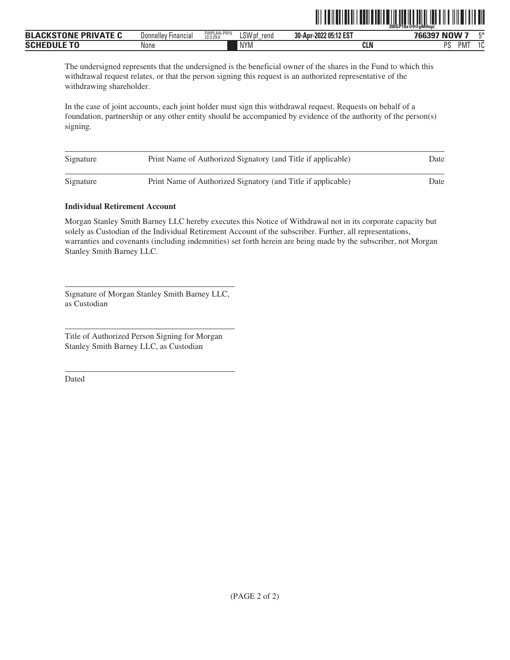|                                                            |                                                 |                          |                        | - - -  -- . -- -. . ---- - - -- - |                                    |
|------------------------------------------------------------|-------------------------------------------------|--------------------------|------------------------|-----------------------------------|------------------------------------|
| <b>TABIF</b><br><br>DD<br><b>BLA</b><br>$\mathbf{v}$<br>'n | $\overline{\phantom{0}}$<br>Donnelley Financial | FWPLAN-PR15<br>22,3,29.0 | $1$ CIA<br>rend<br>יט∟ | 30-Apr-2022 05:12 EST             | <b>NOW 7</b><br>mж<br>700007       |
| SCI                                                        | None                                            |                          | <b>NYM</b>             | <b>CLN</b>                        | DС<br>۰ ۾<br><b>PMT</b><br>ιu<br>u |

ˆ200GP18x@9@gMHnp(Š **200GP18x@9@gMHnp(**

The undersigned represents that the undersigned is the beneficial owner of the shares in the Fund to which this withdrawal request relates, or that the person signing this request is an authorized representative of the withdrawing shareholder.

In the case of joint accounts, each joint holder must sign this withdrawal request. Requests on behalf of a foundation, partnership or any other entity should be accompanied by evidence of the authority of the person(s) signing.

| Signature | Print Name of Authorized Signatory (and Title if applicable) | Date |
|-----------|--------------------------------------------------------------|------|
| Signature | Print Name of Authorized Signatory (and Title if applicable) | Date |

## **Individual Retirement Account**

Morgan Stanley Smith Barney LLC hereby executes this Notice of Withdrawal not in its corporate capacity but solely as Custodian of the Individual Retirement Account of the subscriber. Further, all representations, warranties and covenants (including indemnities) set forth herein are being made by the subscriber, not Morgan Stanley Smith Barney LLC.

Signature of Morgan Stanley Smith Barney LLC, as Custodian

Title of Authorized Person Signing for Morgan Stanley Smith Barney LLC, as Custodian

Dated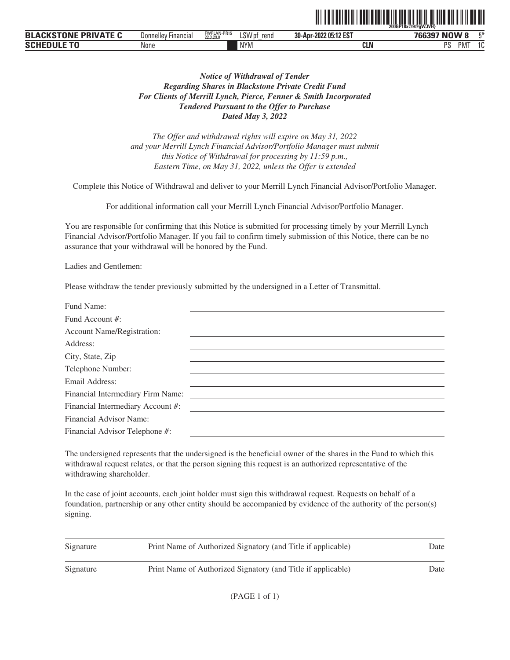|                                                   |                               |                          |                | 200GP18x@9@aWJVH}         |                       |    |  |
|---------------------------------------------------|-------------------------------|--------------------------|----------------|---------------------------|-----------------------|----|--|
| <b>BLACI</b><br><b>PRIVATE C</b><br><b>KSTONE</b> | Donnellev<br><b>Financial</b> | FWPLAN-PR15<br>22.3.29.0 | LSW pf<br>rend | 205:12 EST<br>30-Apr-2022 | NOW 8<br>766397       | 口米 |  |
| Schedule to                                       | None                          |                          | <b>NYM</b>     | <b>CLN</b>                | DС<br><b>PMT</b><br>ഄ |    |  |

ˆ200GP18x@9@gWJVH}Š **200GP18x@9@gWJVH}**

# *Notice of Withdrawal of Tender Regarding Shares in Blackstone Private Credit Fund For Clients of Merrill Lynch, Pierce, Fenner & Smith Incorporated Tendered Pursuant to the Offer to Purchase Dated May 3, 2022*

*The Offer and withdrawal rights will expire on May 31, 2022 and your Merrill Lynch Financial Advisor/Portfolio Manager must submit this Notice of Withdrawal for processing by 11:59 p.m., Eastern Time, on May 31, 2022, unless the Offer is extended*

Complete this Notice of Withdrawal and deliver to your Merrill Lynch Financial Advisor/Portfolio Manager.

For additional information call your Merrill Lynch Financial Advisor/Portfolio Manager.

You are responsible for confirming that this Notice is submitted for processing timely by your Merrill Lynch Financial Advisor/Portfolio Manager. If you fail to confirm timely submission of this Notice, there can be no assurance that your withdrawal will be honored by the Fund.

Ladies and Gentlemen:

Please withdraw the tender previously submitted by the undersigned in a Letter of Transmittal.

| Fund Name:                        |  |
|-----------------------------------|--|
| Fund Account #:                   |  |
| Account Name/Registration:        |  |
| Address:                          |  |
| City, State, Zip                  |  |
| Telephone Number:                 |  |
| Email Address:                    |  |
| Financial Intermediary Firm Name: |  |
| Financial Intermediary Account #: |  |
| Financial Advisor Name:           |  |
| Financial Advisor Telephone #:    |  |
|                                   |  |

The undersigned represents that the undersigned is the beneficial owner of the shares in the Fund to which this withdrawal request relates, or that the person signing this request is an authorized representative of the withdrawing shareholder.

| Signature | Print Name of Authorized Signatory (and Title if applicable) | Date |
|-----------|--------------------------------------------------------------|------|
| Signature | Print Name of Authorized Signatory (and Title if applicable) | Date |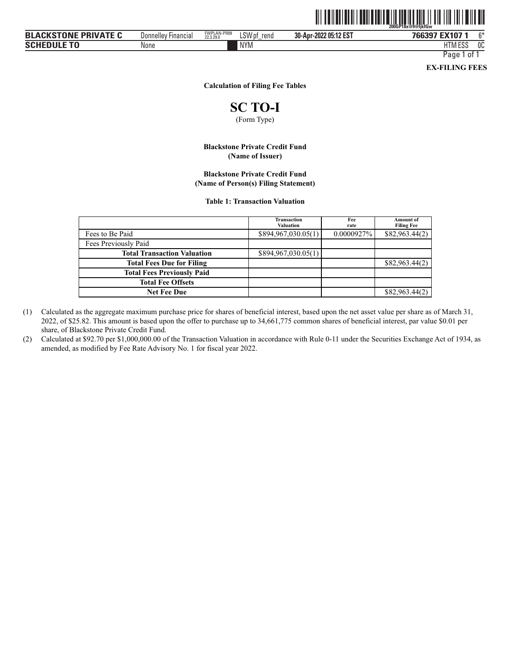|                             |                            |                          |                | <u> III IIII IIII</u><br><b>TIITIITII</b> | $\mathbb{I}$<br>200GP18x@9@fikfGw |      |
|-----------------------------|----------------------------|--------------------------|----------------|-------------------------------------------|-----------------------------------|------|
| <b>BLACKSTONE PRIVATE C</b> | <b>Donnelley Financial</b> | FWPLAN-PR09<br>22.3.29.0 | LSW pf<br>rend | 30-Apr-2022 05:12 EST                     | 766397 EX107 1                    | $6*$ |
| <b>SCHEDULE TO</b>          | None                       |                          | <b>NYM</b>     |                                           | HTM ESS                           | 0C   |

Page 1 of 1

**EX-FILING FEES**

#### **Calculation of Filing Fee Tables**

# **SC TO-I**

(Form Type)

#### **Blackstone Private Credit Fund (Name of Issuer)**

#### **Blackstone Private Credit Fund (Name of Person(s) Filing Statement)**

#### **Table 1: Transaction Valuation**

|                                    | Transaction<br><b>Valuation</b> | Fee<br>rate   | <b>Amount</b> of<br><b>Filing Fee</b> |
|------------------------------------|---------------------------------|---------------|---------------------------------------|
| Fees to Be Paid                    | \$894,967,030.05(1)             | $0.0000927\%$ | \$82,963,44(2)                        |
| Fees Previously Paid               |                                 |               |                                       |
| <b>Total Transaction Valuation</b> | \$894,967,030.05(1)             |               |                                       |
| <b>Total Fees Due for Filing</b>   |                                 |               | \$82,963.44(2)                        |
| <b>Total Fees Previously Paid</b>  |                                 |               |                                       |
| <b>Total Fee Offsets</b>           |                                 |               |                                       |
| <b>Net Fee Due</b>                 |                                 |               | \$82,963,44(2)                        |

(1) Calculated as the aggregate maximum purchase price for shares of beneficial interest, based upon the net asset value per share as of March 31, 2022, of \$25.82. This amount is based upon the offer to purchase up to 34,661,775 common shares of beneficial interest, par value \$0.01 per share, of Blackstone Private Credit Fund.

(2) Calculated at \$92.70 per \$1,000,000.00 of the Transaction Valuation in accordance with Rule 0-11 under the Securities Exchange Act of 1934, as amended, as modified by Fee Rate Advisory No. 1 for fiscal year 2022.